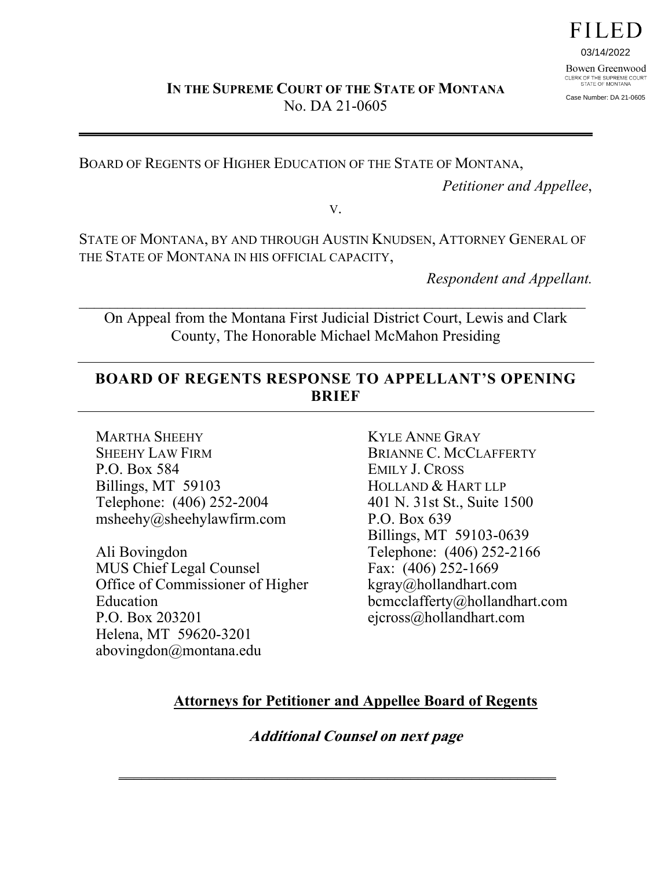FILED

03/14/2022 Bowen Greenwood CLERK OF THE SUPREME COURT<br>STATE OF MONTANA

Case Number: DA 21-0605

BOARD OF REGENTS OF HIGHER EDUCATION OF THE STATE OF MONTANA,

*Petitioner and Appellee*,

V.

STATE OF MONTANA, BY AND THROUGH AUSTIN KNUDSEN, ATTORNEY GENERAL OF THE STATE OF MONTANA IN HIS OFFICIAL CAPACITY,

*Respondent and Appellant.* 

On Appeal from the Montana First Judicial District Court, Lewis and Clark County, The Honorable Michael McMahon Presiding

 $\mathcal{L} = \{ \mathcal{L} \mid \mathcal{L} \in \mathcal{L} \}$  , where  $\mathcal{L} = \{ \mathcal{L} \mid \mathcal{L} \in \mathcal{L} \}$  , where  $\mathcal{L} = \{ \mathcal{L} \mid \mathcal{L} \in \mathcal{L} \}$ 

# **BOARD OF REGENTS RESPONSE TO APPELLANT'S OPENING BRIEF**

MARTHA SHEEHY SHEEHY LAW FIRM P.O. Box 584 Billings, MT 59103 Telephone: (406) 252-2004 msheehy@sheehylawfirm.com

Ali Bovingdon MUS Chief Legal Counsel Office of Commissioner of Higher Education P.O. Box 203201 Helena, MT 59620-3201 abovingdon@montana.edu

KYLE ANNE GRAY BRIANNE C. MCCLAFFERTY EMILY J. CROSS HOLLAND & HART LLP 401 N. 31st St., Suite 1500 P.O. Box 639 Billings, MT 59103-0639 Telephone: (406) 252-2166 Fax: (406) 252-1669 kgray@hollandhart.com bcmcclafferty@hollandhart.com ejcross@hollandhart.com

# **Attorneys for Petitioner and Appellee Board of Regents**

**Additional Counsel on next page**

\_\_\_\_\_\_\_\_\_\_\_\_\_\_\_\_\_\_\_\_\_\_\_\_\_\_\_\_\_\_\_\_\_\_\_\_\_\_\_\_\_\_\_\_\_\_\_\_\_\_\_\_\_\_\_\_\_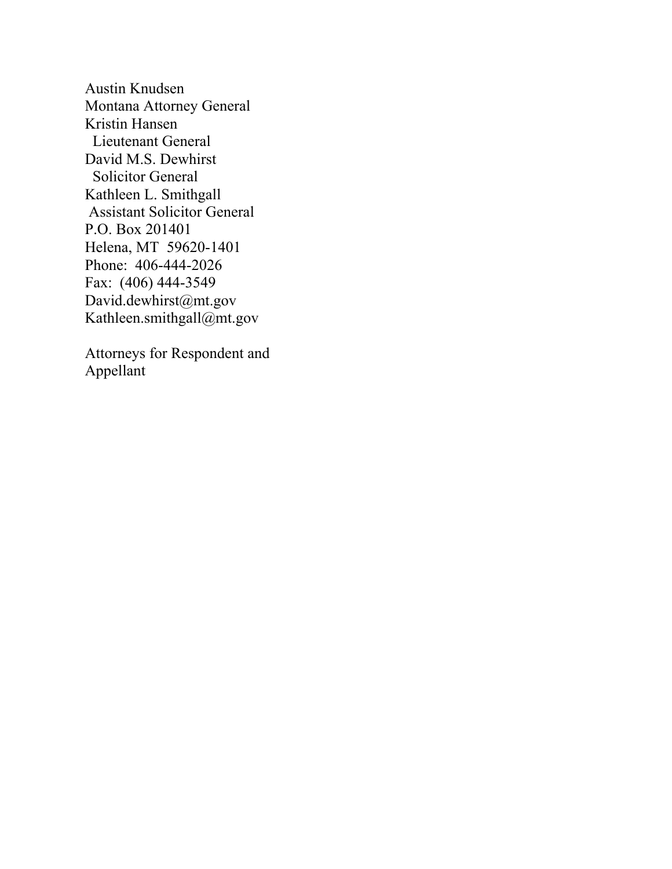Austin Knudsen Montana Attorney General Kristin Hansen Lieutenant General David M.S. Dewhirst Solicitor General Kathleen L. Smithgall Assistant Solicitor General P.O. Box 201401 Helena, MT 59620-1401 Phone: 406-444-2026 Fax: (406) 444-3549 David.dewhirst@mt.gov Kathleen.smithgall@mt.gov

Attorneys for Respondent and Appellant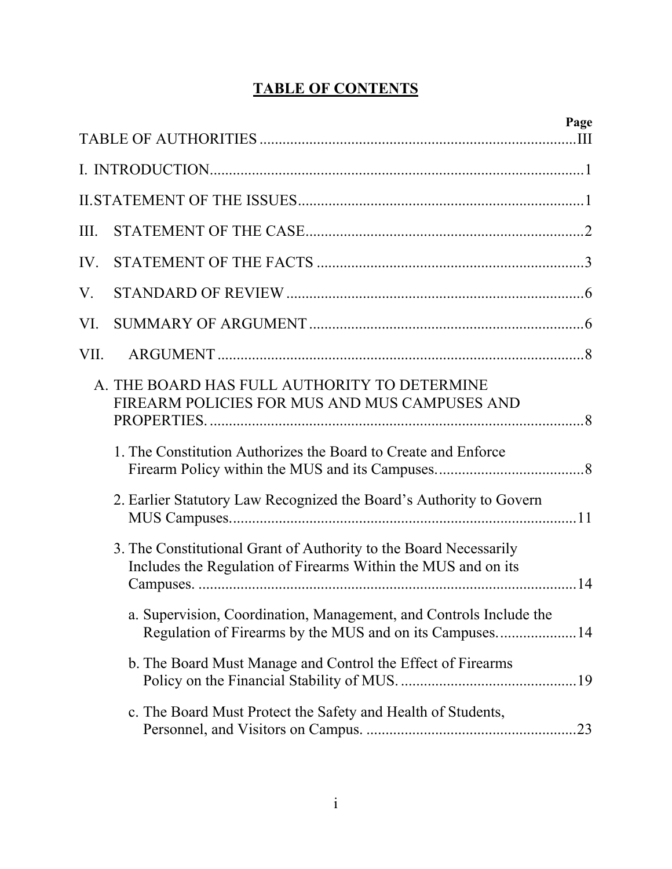# **TABLE OF CONTENTS**

|      | Page                                                                                                                               |
|------|------------------------------------------------------------------------------------------------------------------------------------|
|      |                                                                                                                                    |
|      |                                                                                                                                    |
|      |                                                                                                                                    |
| III. |                                                                                                                                    |
| IV.  |                                                                                                                                    |
| V.   |                                                                                                                                    |
| VI.  |                                                                                                                                    |
| VII. |                                                                                                                                    |
|      | A. THE BOARD HAS FULL AUTHORITY TO DETERMINE<br>FIREARM POLICIES FOR MUS AND MUS CAMPUSES AND                                      |
|      | 1. The Constitution Authorizes the Board to Create and Enforce                                                                     |
|      | 2. Earlier Statutory Law Recognized the Board's Authority to Govern                                                                |
|      | 3. The Constitutional Grant of Authority to the Board Necessarily<br>Includes the Regulation of Firearms Within the MUS and on its |
|      | a. Supervision, Coordination, Management, and Controls Include the<br>Regulation of Firearms by the MUS and on its Campuses14      |
|      | b. The Board Must Manage and Control the Effect of Firearms                                                                        |
|      | c. The Board Must Protect the Safety and Health of Students,<br>.23                                                                |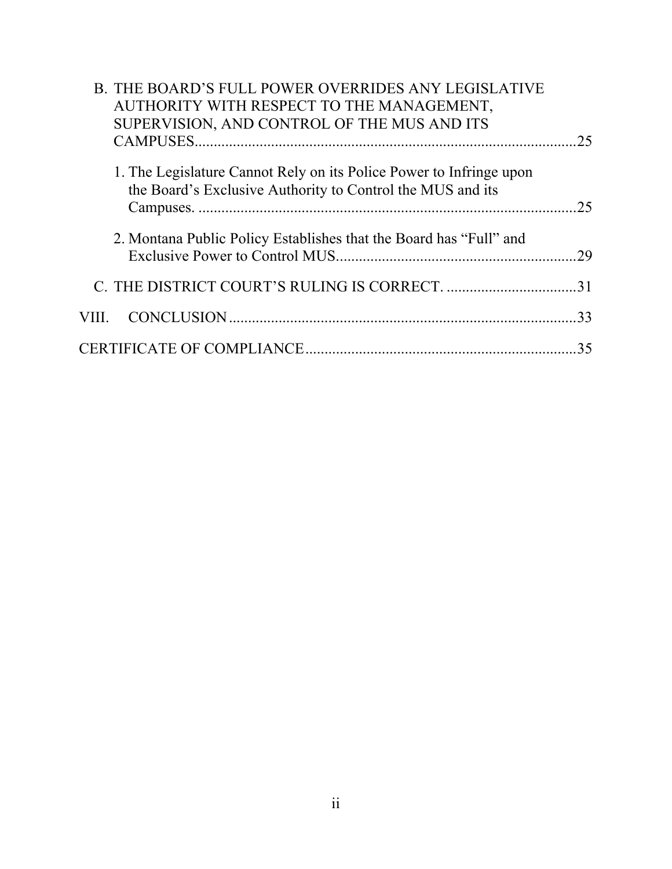| <b>B. THE BOARD'S FULL POWER OVERRIDES ANY LEGISLATIVE</b><br>AUTHORITY WITH RESPECT TO THE MANAGEMENT,                           |     |
|-----------------------------------------------------------------------------------------------------------------------------------|-----|
| SUPERVISION, AND CONTROL OF THE MUS AND ITS                                                                                       | 25  |
| 1. The Legislature Cannot Rely on its Police Power to Infringe upon<br>the Board's Exclusive Authority to Control the MUS and its | 25  |
| 2. Montana Public Policy Establishes that the Board has "Full" and                                                                |     |
|                                                                                                                                   |     |
| VIII.                                                                                                                             | .33 |
|                                                                                                                                   | 35  |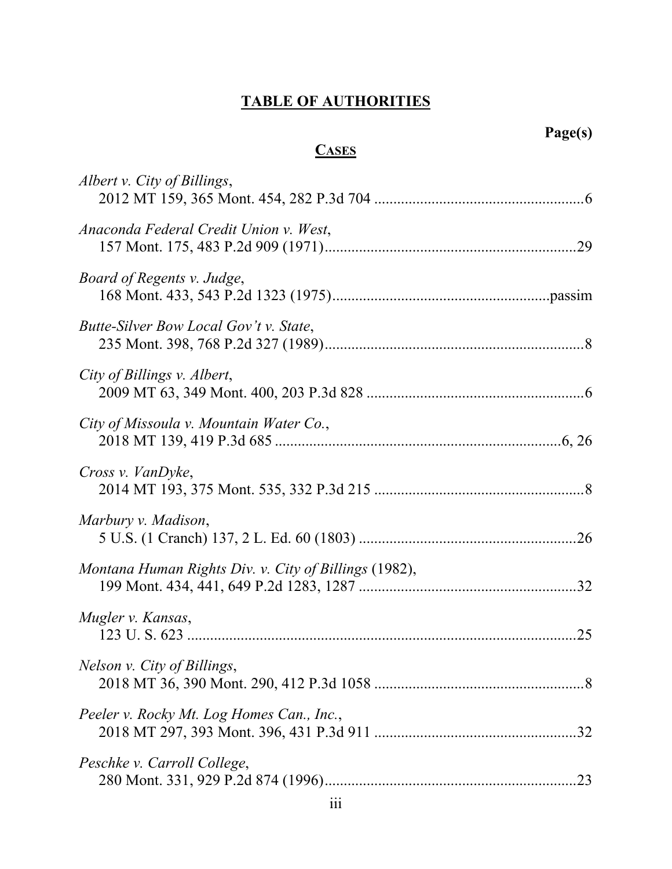# **TABLE OF AUTHORITIES**

# **Page(s)**

# **CASES**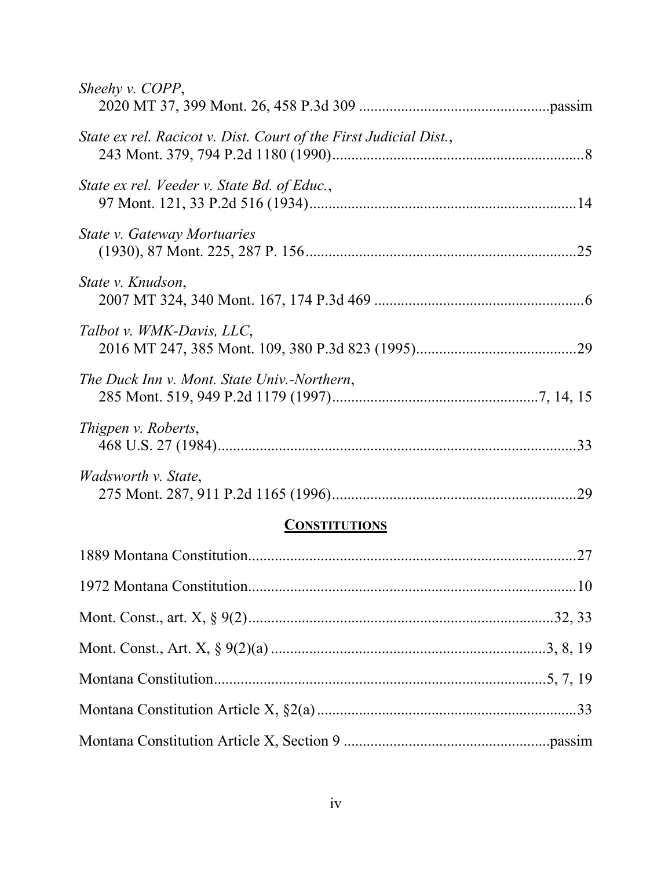| Sheehy v. COPP,                                                   |
|-------------------------------------------------------------------|
| State ex rel. Racicot v. Dist. Court of the First Judicial Dist., |
| State ex rel. Veeder v. State Bd. of Educ.,                       |
| <b>State v. Gateway Mortuaries</b>                                |
| State v. Knudson,                                                 |
| Talbot v. WMK-Davis, LLC,                                         |
| The Duck Inn v. Mont. State Univ.-Northern,                       |
| Thigpen v. Roberts,                                               |
| <i>Wadsworth v. State,</i>                                        |
| <b>CONSTITUTIONS</b>                                              |
|                                                                   |
|                                                                   |
|                                                                   |
|                                                                   |
|                                                                   |

Montana Constitution Article X, §2(a) .................................................................... 33 Montana Constitution Article X, Section 9 ......................................................passim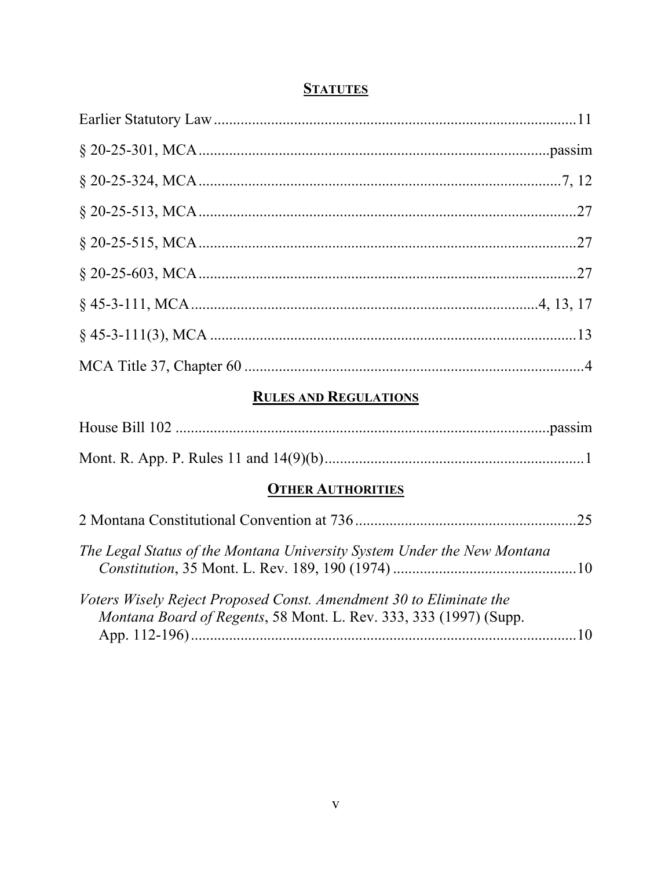# **STATUTES**

# **RULES AND REGULATIONS**

### **OTHER AUTHORITIES**

| The Legal Status of the Montana University System Under the New Montana                                                                 |     |
|-----------------------------------------------------------------------------------------------------------------------------------------|-----|
| Voters Wisely Reject Proposed Const. Amendment 30 to Eliminate the<br>Montana Board of Regents, 58 Mont. L. Rev. 333, 333 (1997) (Supp. | .10 |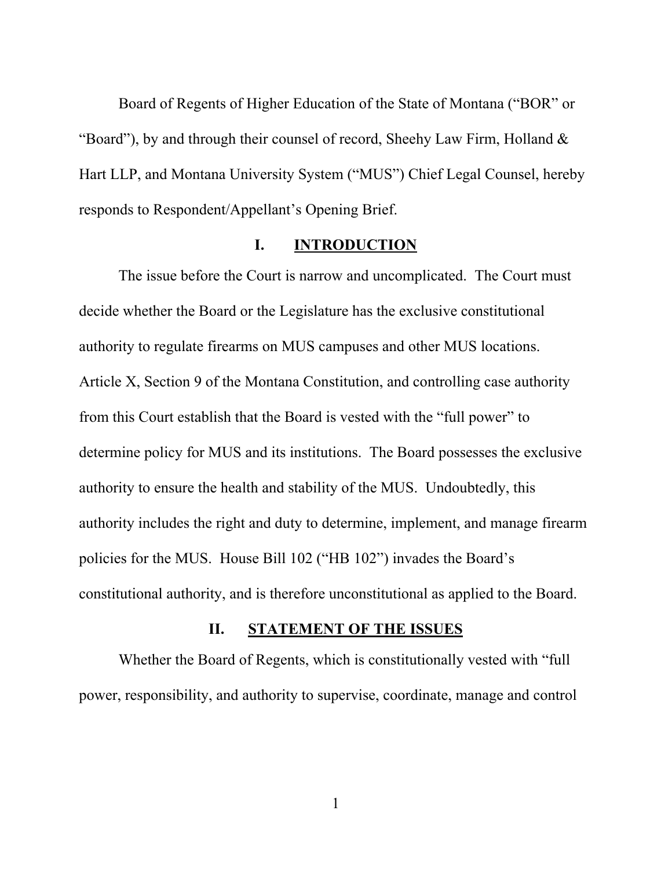Board of Regents of Higher Education of the State of Montana ("BOR" or "Board"), by and through their counsel of record, Sheehy Law Firm, Holland & Hart LLP, and Montana University System ("MUS") Chief Legal Counsel, hereby responds to Respondent/Appellant's Opening Brief.

#### **I. INTRODUCTION**

The issue before the Court is narrow and uncomplicated. The Court must decide whether the Board or the Legislature has the exclusive constitutional authority to regulate firearms on MUS campuses and other MUS locations. Article X, Section 9 of the Montana Constitution, and controlling case authority from this Court establish that the Board is vested with the "full power" to determine policy for MUS and its institutions. The Board possesses the exclusive authority to ensure the health and stability of the MUS. Undoubtedly, this authority includes the right and duty to determine, implement, and manage firearm policies for the MUS. House Bill 102 ("HB 102") invades the Board's constitutional authority, and is therefore unconstitutional as applied to the Board.

### **II. STATEMENT OF THE ISSUES**

Whether the Board of Regents, which is constitutionally vested with "full power, responsibility, and authority to supervise, coordinate, manage and control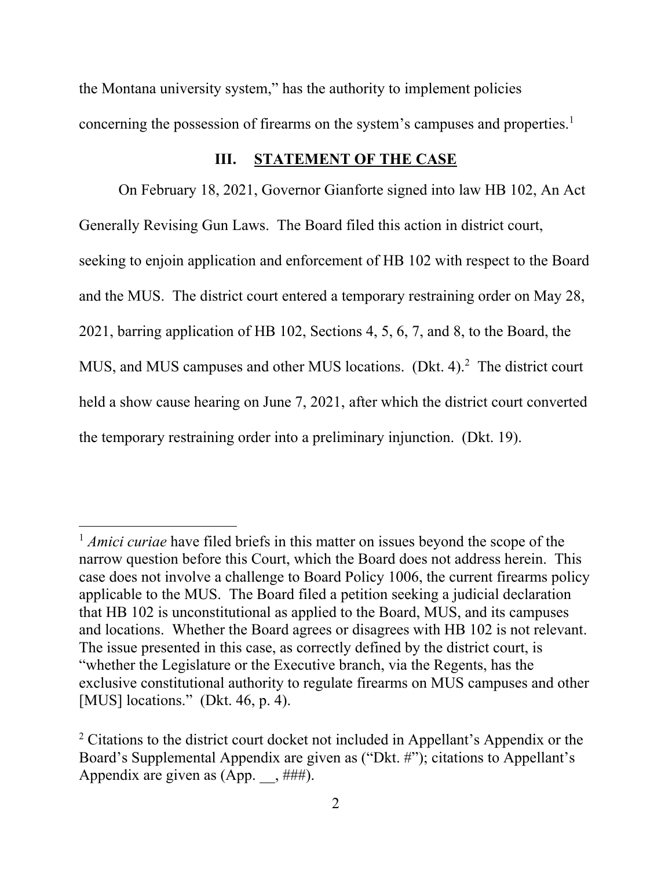the Montana university system," has the authority to implement policies concerning the possession of firearms on the system's campuses and properties.<sup>1</sup>

#### **III. STATEMENT OF THE CASE**

On February 18, 2021, Governor Gianforte signed into law HB 102, An Act Generally Revising Gun Laws. The Board filed this action in district court, seeking to enjoin application and enforcement of HB 102 with respect to the Board and the MUS. The district court entered a temporary restraining order on May 28, 2021, barring application of HB 102, Sections 4, 5, 6, 7, and 8, to the Board, the MUS, and MUS campuses and other MUS locations. (Dkt. 4).<sup>2</sup> The district court held a show cause hearing on June 7, 2021, after which the district court converted the temporary restraining order into a preliminary injunction. (Dkt. 19).

<sup>&</sup>lt;sup>1</sup> *Amici curiae* have filed briefs in this matter on issues beyond the scope of the narrow question before this Court, which the Board does not address herein. This case does not involve a challenge to Board Policy 1006, the current firearms policy applicable to the MUS. The Board filed a petition seeking a judicial declaration that HB 102 is unconstitutional as applied to the Board, MUS, and its campuses and locations. Whether the Board agrees or disagrees with HB 102 is not relevant. The issue presented in this case, as correctly defined by the district court, is "whether the Legislature or the Executive branch, via the Regents, has the exclusive constitutional authority to regulate firearms on MUS campuses and other [MUS] locations." (Dkt. 46, p. 4).

<sup>&</sup>lt;sup>2</sup> Citations to the district court docket not included in Appellant's Appendix or the Board's Supplemental Appendix are given as ("Dkt. #"); citations to Appellant's Appendix are given as  $(App. , #\#$ .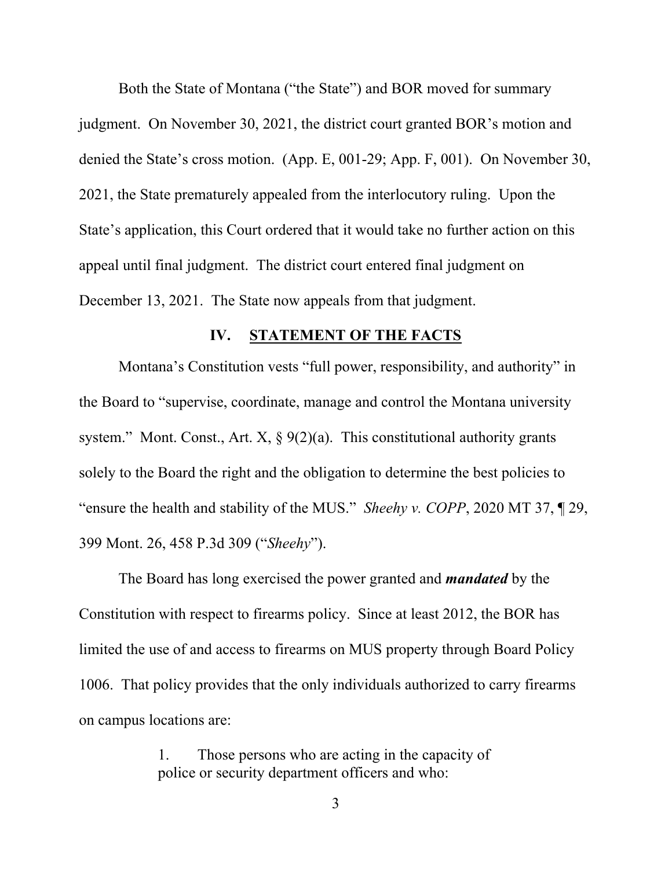Both the State of Montana ("the State") and BOR moved for summary judgment. On November 30, 2021, the district court granted BOR's motion and denied the State's cross motion. (App. E, 001-29; App. F, 001). On November 30, 2021, the State prematurely appealed from the interlocutory ruling. Upon the State's application, this Court ordered that it would take no further action on this appeal until final judgment. The district court entered final judgment on December 13, 2021. The State now appeals from that judgment.

#### **IV. STATEMENT OF THE FACTS**

Montana's Constitution vests "full power, responsibility, and authority" in the Board to "supervise, coordinate, manage and control the Montana university system." Mont. Const., Art. X,  $\S 9(2)(a)$ . This constitutional authority grants solely to the Board the right and the obligation to determine the best policies to "ensure the health and stability of the MUS." *Sheehy v. COPP*, 2020 MT 37, ¶ 29, 399 Mont. 26, 458 P.3d 309 ("*Sheehy*").

The Board has long exercised the power granted and *mandated* by the Constitution with respect to firearms policy. Since at least 2012, the BOR has limited the use of and access to firearms on MUS property through Board Policy 1006. That policy provides that the only individuals authorized to carry firearms on campus locations are:

> 1. Those persons who are acting in the capacity of police or security department officers and who: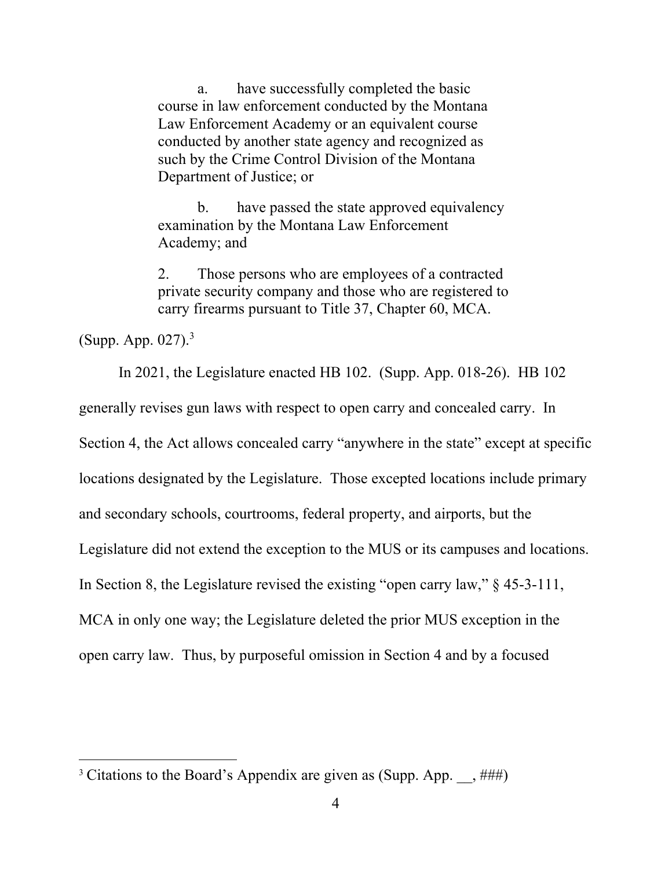a. have successfully completed the basic course in law enforcement conducted by the Montana Law Enforcement Academy or an equivalent course conducted by another state agency and recognized as such by the Crime Control Division of the Montana Department of Justice; or

 b. have passed the state approved equivalency examination by the Montana Law Enforcement Academy; and

2. Those persons who are employees of a contracted private security company and those who are registered to carry firearms pursuant to Title 37, Chapter 60, MCA.

(Supp. App. 027).3

In 2021, the Legislature enacted HB 102. (Supp. App. 018-26). HB 102 generally revises gun laws with respect to open carry and concealed carry. In Section 4, the Act allows concealed carry "anywhere in the state" except at specific locations designated by the Legislature. Those excepted locations include primary and secondary schools, courtrooms, federal property, and airports, but the Legislature did not extend the exception to the MUS or its campuses and locations. In Section 8, the Legislature revised the existing "open carry law," § 45-3-111, MCA in only one way; the Legislature deleted the prior MUS exception in the open carry law. Thus, by purposeful omission in Section 4 and by a focused

<sup>&</sup>lt;sup>3</sup> Citations to the Board's Appendix are given as (Supp. App.  $\frac{+\text{#}}{+\text{#}}$ )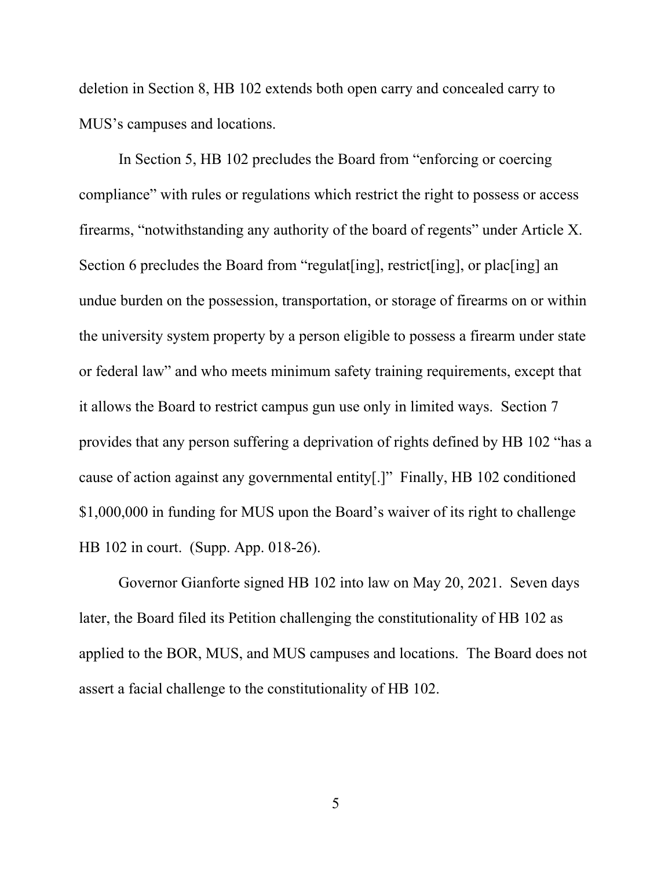deletion in Section 8, HB 102 extends both open carry and concealed carry to MUS's campuses and locations.

In Section 5, HB 102 precludes the Board from "enforcing or coercing compliance" with rules or regulations which restrict the right to possess or access firearms, "notwithstanding any authority of the board of regents" under Article X. Section 6 precludes the Board from "regulat [ing], restrict [ing], or plac [ing] an undue burden on the possession, transportation, or storage of firearms on or within the university system property by a person eligible to possess a firearm under state or federal law" and who meets minimum safety training requirements, except that it allows the Board to restrict campus gun use only in limited ways. Section 7 provides that any person suffering a deprivation of rights defined by HB 102 "has a cause of action against any governmental entity[.]" Finally, HB 102 conditioned \$1,000,000 in funding for MUS upon the Board's waiver of its right to challenge HB 102 in court. (Supp. App. 018-26).

Governor Gianforte signed HB 102 into law on May 20, 2021. Seven days later, the Board filed its Petition challenging the constitutionality of HB 102 as applied to the BOR, MUS, and MUS campuses and locations. The Board does not assert a facial challenge to the constitutionality of HB 102.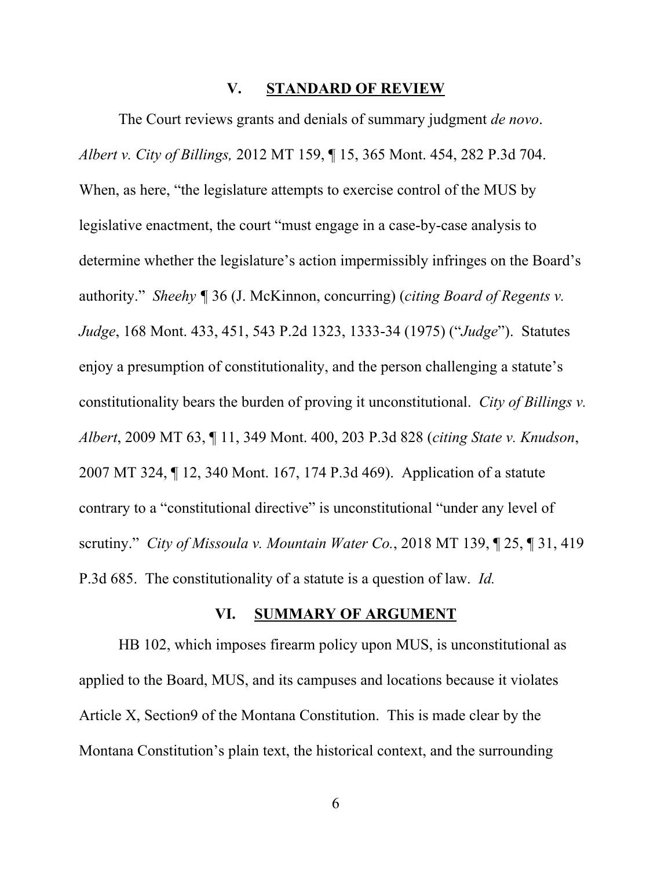#### **V. STANDARD OF REVIEW**

The Court reviews grants and denials of summary judgment *de novo*. *Albert v. City of Billings,* 2012 MT 159, ¶ 15, 365 Mont. 454, 282 P.3d 704. When, as here, "the legislature attempts to exercise control of the MUS by legislative enactment, the court "must engage in a case-by-case analysis to determine whether the legislature's action impermissibly infringes on the Board's authority." *Sheehy ¶* 36 (J. McKinnon, concurring) (*citing Board of Regents v. Judge*, 168 Mont. 433, 451, 543 P.2d 1323, 1333-34 (1975) ("*Judge*"). Statutes enjoy a presumption of constitutionality, and the person challenging a statute's constitutionality bears the burden of proving it unconstitutional. *City of Billings v. Albert*, 2009 MT 63, ¶ 11, 349 Mont. 400, 203 P.3d 828 (*citing State v. Knudson*, 2007 MT 324, ¶ 12, 340 Mont. 167, 174 P.3d 469). Application of a statute contrary to a "constitutional directive" is unconstitutional "under any level of scrutiny." *City of Missoula v. Mountain Water Co.*, 2018 MT 139, ¶ 25, ¶ 31, 419 P.3d 685. The constitutionality of a statute is a question of law. *Id.*

#### **VI. SUMMARY OF ARGUMENT**

HB 102, which imposes firearm policy upon MUS, is unconstitutional as applied to the Board, MUS, and its campuses and locations because it violates Article X, Section9 of the Montana Constitution. This is made clear by the Montana Constitution's plain text, the historical context, and the surrounding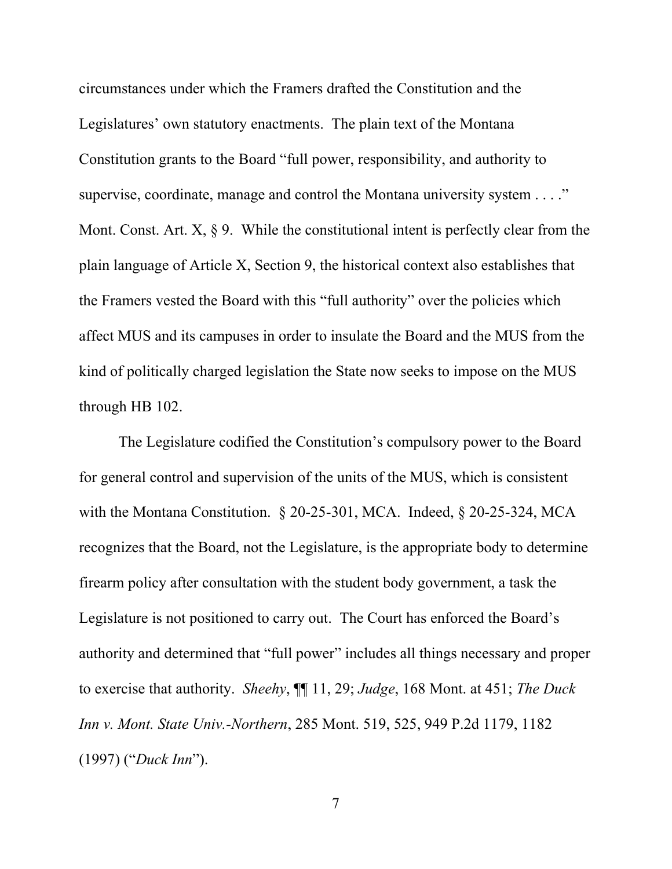circumstances under which the Framers drafted the Constitution and the Legislatures' own statutory enactments. The plain text of the Montana Constitution grants to the Board "full power, responsibility, and authority to supervise, coordinate, manage and control the Montana university system . . . ." Mont. Const. Art.  $X$ ,  $\S$  9. While the constitutional intent is perfectly clear from the plain language of Article X, Section 9, the historical context also establishes that the Framers vested the Board with this "full authority" over the policies which affect MUS and its campuses in order to insulate the Board and the MUS from the kind of politically charged legislation the State now seeks to impose on the MUS through HB 102.

The Legislature codified the Constitution's compulsory power to the Board for general control and supervision of the units of the MUS, which is consistent with the Montana Constitution. § 20-25-301, MCA. Indeed, § 20-25-324, MCA recognizes that the Board, not the Legislature, is the appropriate body to determine firearm policy after consultation with the student body government, a task the Legislature is not positioned to carry out. The Court has enforced the Board's authority and determined that "full power" includes all things necessary and proper to exercise that authority. *Sheehy*, ¶¶ 11, 29; *Judge*, 168 Mont. at 451; *The Duck Inn v. Mont. State Univ.-Northern*, 285 Mont. 519, 525, 949 P.2d 1179, 1182 (1997) ("*Duck Inn*").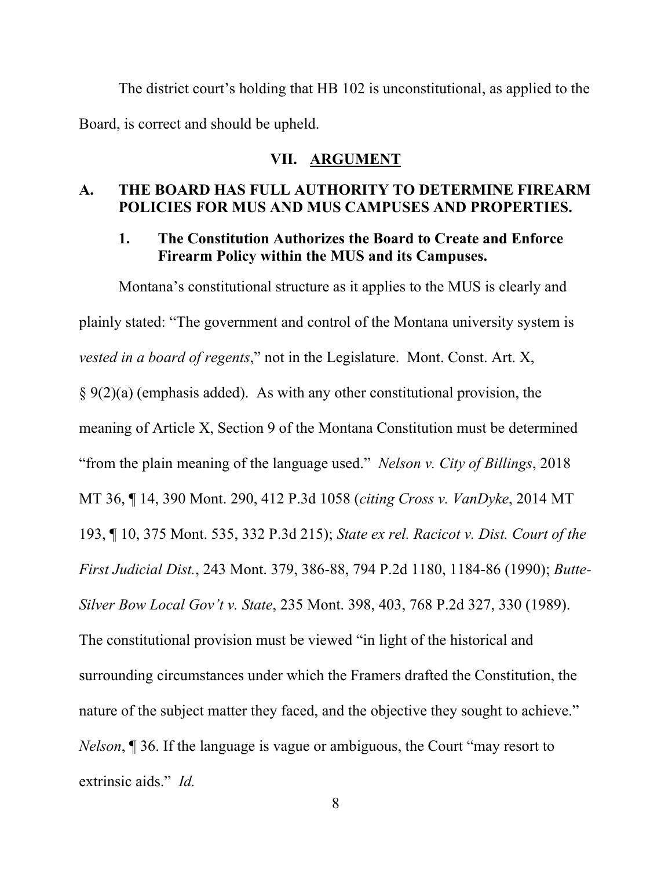The district court's holding that HB 102 is unconstitutional, as applied to the Board, is correct and should be upheld.

### **VII. ARGUMENT**

#### **A. THE BOARD HAS FULL AUTHORITY TO DETERMINE FIREARM POLICIES FOR MUS AND MUS CAMPUSES AND PROPERTIES.**

#### **1. The Constitution Authorizes the Board to Create and Enforce Firearm Policy within the MUS and its Campuses.**

Montana's constitutional structure as it applies to the MUS is clearly and plainly stated: "The government and control of the Montana university system is *vested in a board of regents*," not in the Legislature. Mont. Const. Art. X,  $\S 9(2)(a)$  (emphasis added). As with any other constitutional provision, the meaning of Article X, Section 9 of the Montana Constitution must be determined "from the plain meaning of the language used." *Nelson v. City of Billings*, 2018 MT 36, ¶ 14, 390 Mont. 290, 412 P.3d 1058 (*citing Cross v. VanDyke*, 2014 MT 193, ¶ 10, 375 Mont. 535, 332 P.3d 215); *State ex rel. Racicot v. Dist. Court of the First Judicial Dist.*, 243 Mont. 379, 386-88, 794 P.2d 1180, 1184-86 (1990); *Butte-Silver Bow Local Gov't v. State*, 235 Mont. 398, 403, 768 P.2d 327, 330 (1989). The constitutional provision must be viewed "in light of the historical and surrounding circumstances under which the Framers drafted the Constitution, the nature of the subject matter they faced, and the objective they sought to achieve." *Nelson*, ¶ 36. If the language is vague or ambiguous, the Court "may resort to extrinsic aids." *Id.*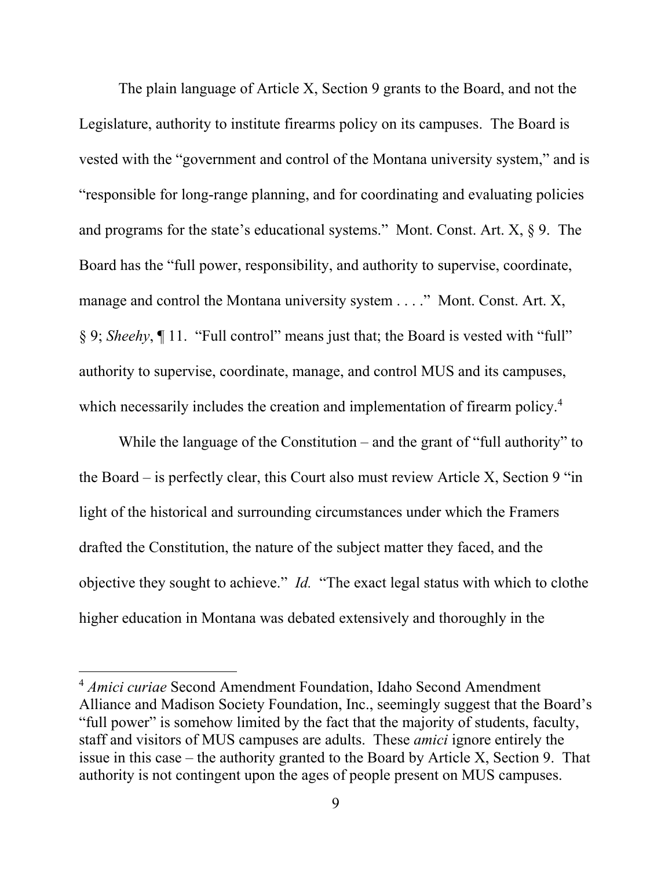The plain language of Article X, Section 9 grants to the Board, and not the Legislature, authority to institute firearms policy on its campuses. The Board is vested with the "government and control of the Montana university system," and is "responsible for long-range planning, and for coordinating and evaluating policies and programs for the state's educational systems." Mont. Const. Art.  $X$ ,  $\S$  9. The Board has the "full power, responsibility, and authority to supervise, coordinate, manage and control the Montana university system . . . ." Mont. Const. Art. X, § 9; *Sheehy*, ¶ 11. "Full control" means just that; the Board is vested with "full" authority to supervise, coordinate, manage, and control MUS and its campuses, which necessarily includes the creation and implementation of firearm policy.<sup>4</sup>

While the language of the Constitution – and the grant of "full authority" to the Board – is perfectly clear, this Court also must review Article X, Section 9 "in light of the historical and surrounding circumstances under which the Framers drafted the Constitution, the nature of the subject matter they faced, and the objective they sought to achieve." *Id.* "The exact legal status with which to clothe higher education in Montana was debated extensively and thoroughly in the

<sup>4</sup> *Amici curiae* Second Amendment Foundation, Idaho Second Amendment Alliance and Madison Society Foundation, Inc., seemingly suggest that the Board's "full power" is somehow limited by the fact that the majority of students, faculty, staff and visitors of MUS campuses are adults. These *amici* ignore entirely the issue in this case – the authority granted to the Board by Article X, Section 9. That authority is not contingent upon the ages of people present on MUS campuses.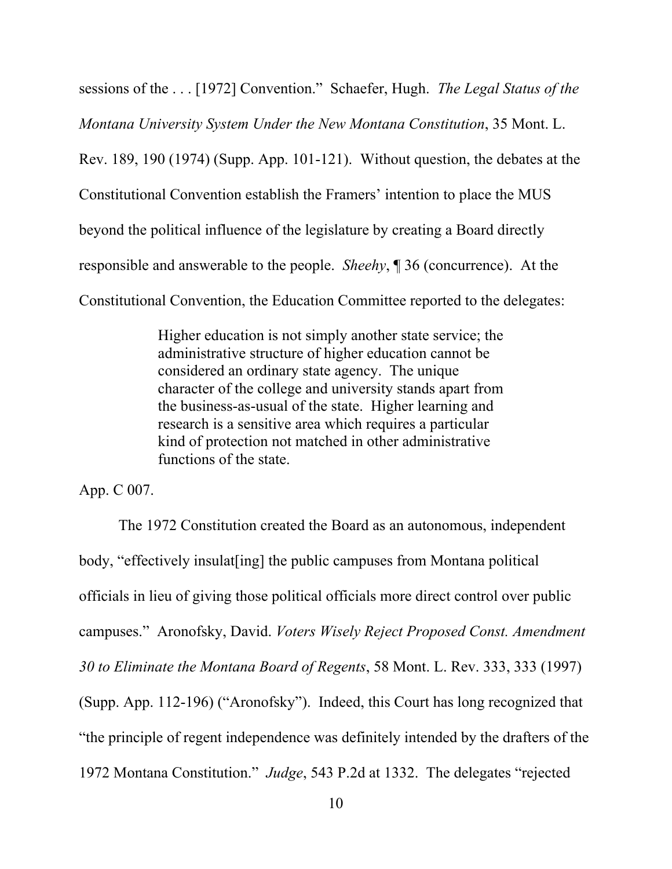sessions of the . . . [1972] Convention." Schaefer, Hugh. *The Legal Status of the Montana University System Under the New Montana Constitution*, 35 Mont. L. Rev. 189, 190 (1974) (Supp. App. 101-121). Without question, the debates at the Constitutional Convention establish the Framers' intention to place the MUS beyond the political influence of the legislature by creating a Board directly responsible and answerable to the people. *Sheehy*, ¶ 36 (concurrence). At the Constitutional Convention, the Education Committee reported to the delegates:

> Higher education is not simply another state service; the administrative structure of higher education cannot be considered an ordinary state agency. The unique character of the college and university stands apart from the business-as-usual of the state. Higher learning and research is a sensitive area which requires a particular kind of protection not matched in other administrative functions of the state.

App. C 007.

The 1972 Constitution created the Board as an autonomous, independent body, "effectively insulat[ing] the public campuses from Montana political officials in lieu of giving those political officials more direct control over public campuses." Aronofsky, David. *Voters Wisely Reject Proposed Const. Amendment 30 to Eliminate the Montana Board of Regents*, 58 Mont. L. Rev. 333, 333 (1997) (Supp. App. 112-196) ("Aronofsky"). Indeed, this Court has long recognized that "the principle of regent independence was definitely intended by the drafters of the 1972 Montana Constitution." *Judge*, 543 P.2d at 1332. The delegates "rejected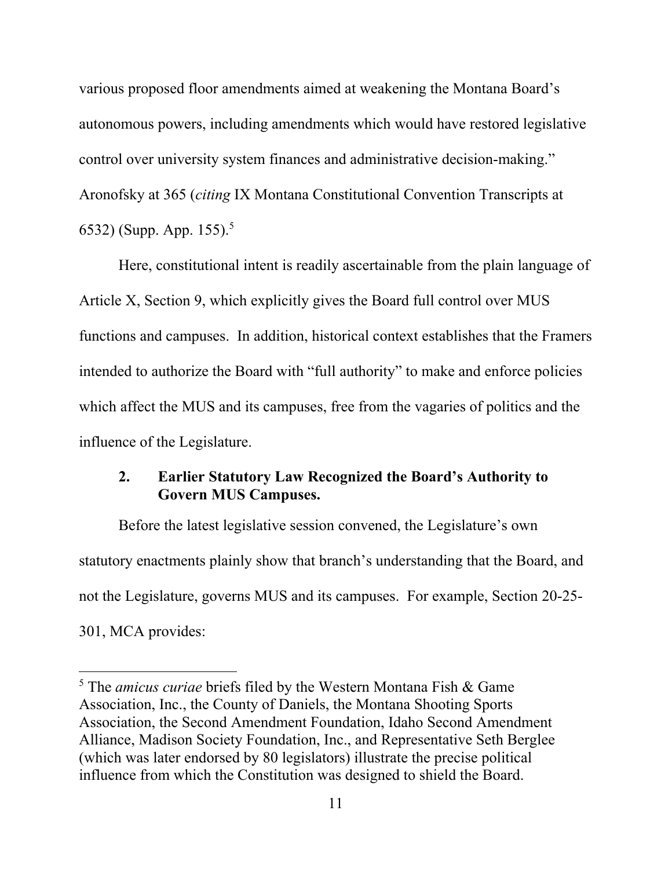various proposed floor amendments aimed at weakening the Montana Board's autonomous powers, including amendments which would have restored legislative control over university system finances and administrative decision-making." Aronofsky at 365 (*citing* IX Montana Constitutional Convention Transcripts at 6532) (Supp. App. 155).<sup>5</sup>

Here, constitutional intent is readily ascertainable from the plain language of Article X, Section 9, which explicitly gives the Board full control over MUS functions and campuses. In addition, historical context establishes that the Framers intended to authorize the Board with "full authority" to make and enforce policies which affect the MUS and its campuses, free from the vagaries of politics and the influence of the Legislature.

## **2. Earlier Statutory Law Recognized the Board's Authority to Govern MUS Campuses.**

Before the latest legislative session convened, the Legislature's own statutory enactments plainly show that branch's understanding that the Board, and not the Legislature, governs MUS and its campuses. For example, Section 20-25- 301, MCA provides:

<sup>5</sup> The *amicus curiae* briefs filed by the Western Montana Fish & Game Association, Inc., the County of Daniels, the Montana Shooting Sports Association, the Second Amendment Foundation, Idaho Second Amendment Alliance, Madison Society Foundation, Inc., and Representative Seth Berglee (which was later endorsed by 80 legislators) illustrate the precise political influence from which the Constitution was designed to shield the Board.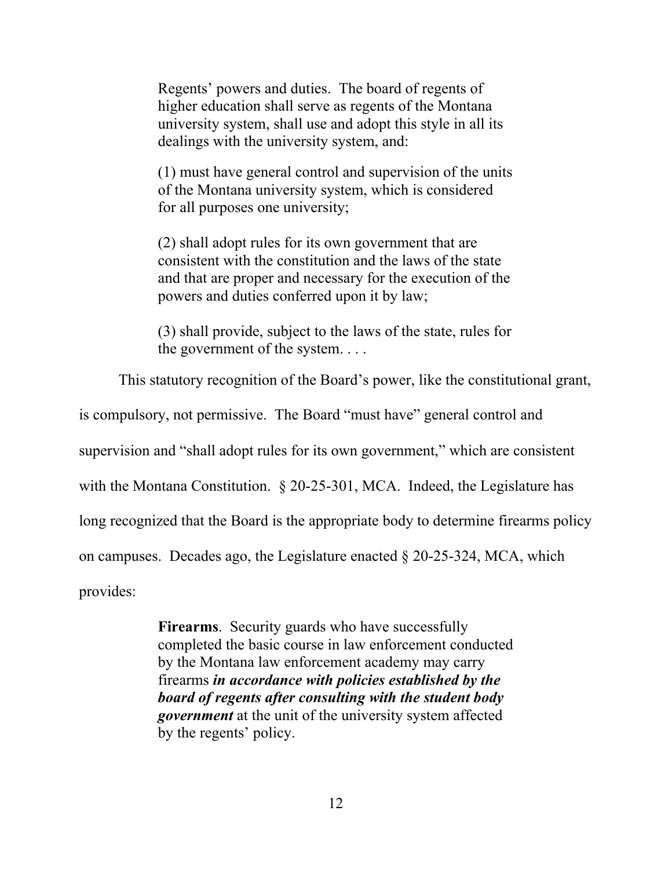Regents' powers and duties. The board of regents of higher education shall serve as regents of the Montana university system, shall use and adopt this style in all its dealings with the university system, and:

(1) must have general control and supervision of the units of the Montana university system, which is considered for all purposes one university;

(2) shall adopt rules for its own government that are consistent with the constitution and the laws of the state and that are proper and necessary for the execution of the powers and duties conferred upon it by law;

(3) shall provide, subject to the laws of the state, rules for the government of the system. . . .

This statutory recognition of the Board's power, like the constitutional grant,

is compulsory, not permissive. The Board "must have" general control and

supervision and "shall adopt rules for its own government," which are consistent

with the Montana Constitution. § 20-25-301, MCA. Indeed, the Legislature has

long recognized that the Board is the appropriate body to determine firearms policy

on campuses. Decades ago, the Legislature enacted § 20-25-324, MCA, which

provides:

**Firearms**. Security guards who have successfully completed the basic course in law enforcement conducted by the Montana law enforcement academy may carry firearms *in accordance with policies established by the board of regents after consulting with the student body government* at the unit of the university system affected by the regents' policy.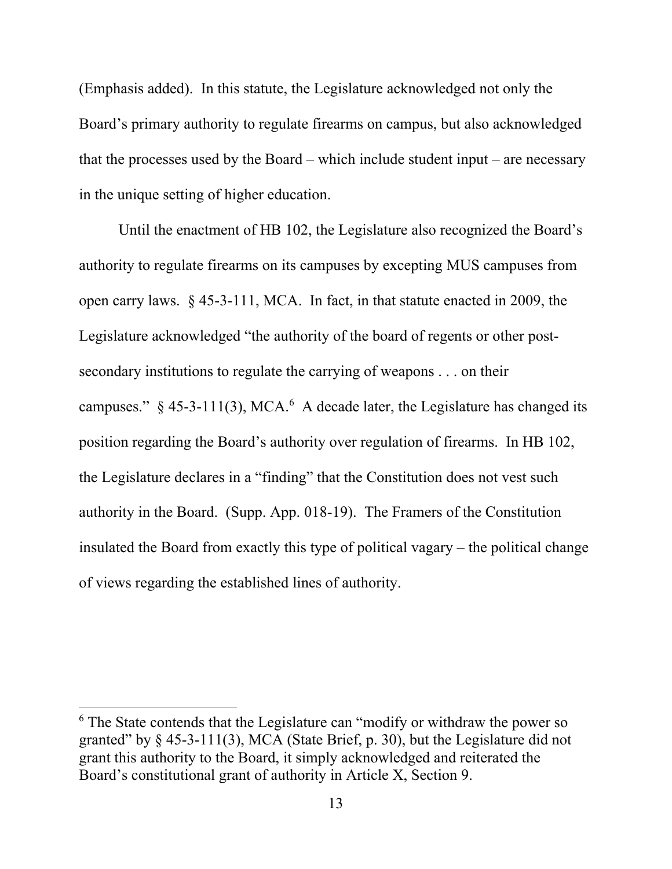(Emphasis added). In this statute, the Legislature acknowledged not only the Board's primary authority to regulate firearms on campus, but also acknowledged that the processes used by the Board – which include student input – are necessary in the unique setting of higher education.

Until the enactment of HB 102, the Legislature also recognized the Board's authority to regulate firearms on its campuses by excepting MUS campuses from open carry laws. § 45-3-111, MCA. In fact, in that statute enacted in 2009, the Legislature acknowledged "the authority of the board of regents or other postsecondary institutions to regulate the carrying of weapons . . . on their campuses."  $\S$  45-3-111(3), MCA.<sup>6</sup> A decade later, the Legislature has changed its position regarding the Board's authority over regulation of firearms. In HB 102, the Legislature declares in a "finding" that the Constitution does not vest such authority in the Board. (Supp. App. 018-19). The Framers of the Constitution insulated the Board from exactly this type of political vagary – the political change of views regarding the established lines of authority.

<sup>&</sup>lt;sup>6</sup> The State contends that the Legislature can "modify or withdraw the power so granted" by  $\S$  45-3-111(3), MCA (State Brief, p. 30), but the Legislature did not grant this authority to the Board, it simply acknowledged and reiterated the Board's constitutional grant of authority in Article X, Section 9.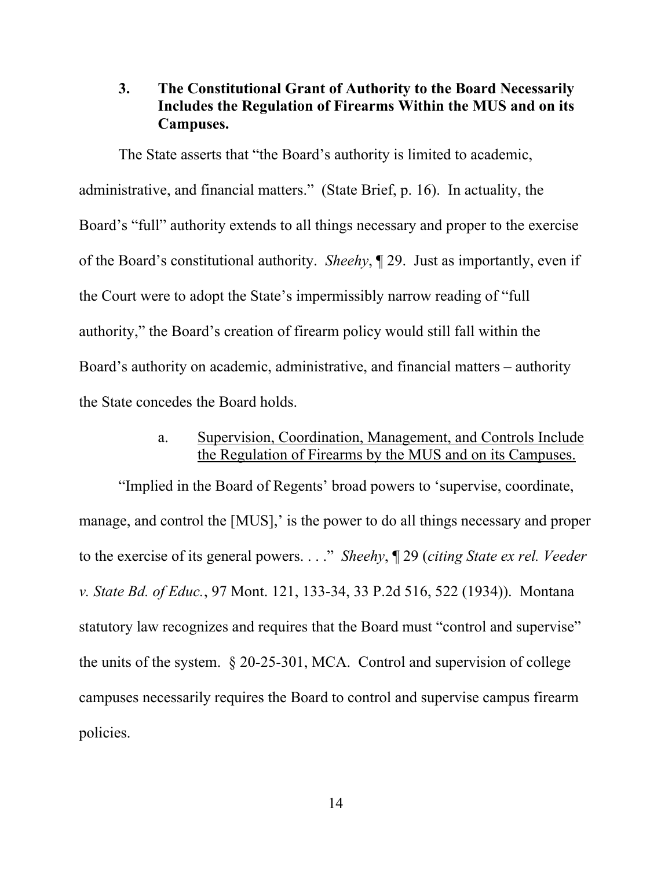## **3. The Constitutional Grant of Authority to the Board Necessarily Includes the Regulation of Firearms Within the MUS and on its Campuses.**

The State asserts that "the Board's authority is limited to academic, administrative, and financial matters." (State Brief, p. 16). In actuality, the Board's "full" authority extends to all things necessary and proper to the exercise of the Board's constitutional authority. *Sheehy*, ¶ 29. Just as importantly, even if the Court were to adopt the State's impermissibly narrow reading of "full authority," the Board's creation of firearm policy would still fall within the Board's authority on academic, administrative, and financial matters – authority the State concedes the Board holds.

# a. Supervision, Coordination, Management, and Controls Include the Regulation of Firearms by the MUS and on its Campuses.

"Implied in the Board of Regents' broad powers to 'supervise, coordinate, manage, and control the [MUS],' is the power to do all things necessary and proper to the exercise of its general powers. . . ." *Sheehy*, ¶ 29 (*citing State ex rel. Veeder v. State Bd. of Educ.*, 97 Mont. 121, 133-34, 33 P.2d 516, 522 (1934)). Montana statutory law recognizes and requires that the Board must "control and supervise" the units of the system. § 20-25-301, MCA. Control and supervision of college campuses necessarily requires the Board to control and supervise campus firearm policies.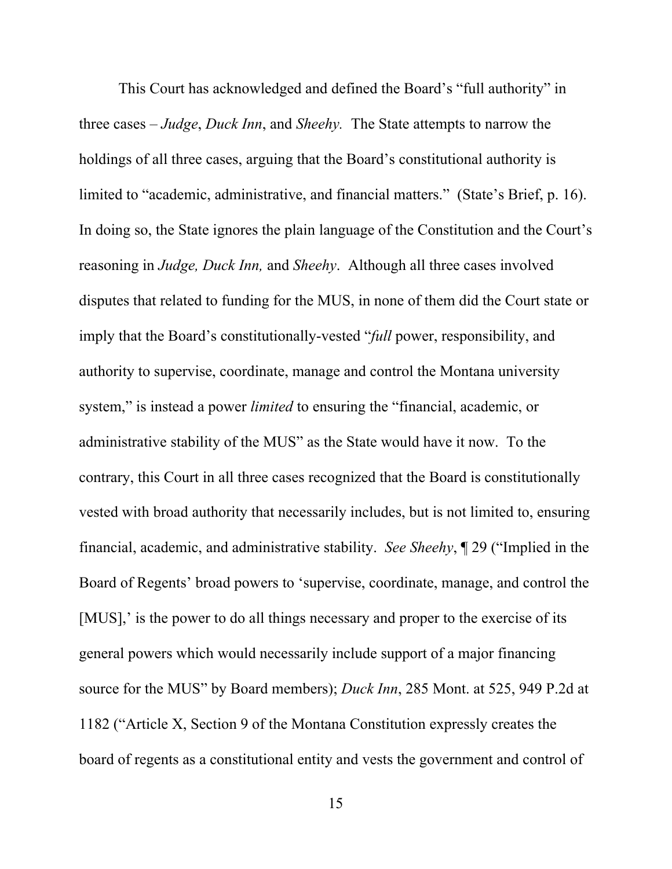This Court has acknowledged and defined the Board's "full authority" in three cases – *Judge*, *Duck Inn*, and *Sheehy.* The State attempts to narrow the holdings of all three cases, arguing that the Board's constitutional authority is limited to "academic, administrative, and financial matters." (State's Brief, p. 16). In doing so, the State ignores the plain language of the Constitution and the Court's reasoning in *Judge, Duck Inn,* and *Sheehy*. Although all three cases involved disputes that related to funding for the MUS, in none of them did the Court state or imply that the Board's constitutionally-vested "*full* power, responsibility, and authority to supervise, coordinate, manage and control the Montana university system," is instead a power *limited* to ensuring the "financial, academic, or administrative stability of the MUS" as the State would have it now. To the contrary, this Court in all three cases recognized that the Board is constitutionally vested with broad authority that necessarily includes, but is not limited to, ensuring financial, academic, and administrative stability. *See Sheehy*, ¶ 29 ("Implied in the Board of Regents' broad powers to 'supervise, coordinate, manage, and control the [MUS],' is the power to do all things necessary and proper to the exercise of its general powers which would necessarily include support of a major financing source for the MUS" by Board members); *Duck Inn*, 285 Mont. at 525, 949 P.2d at 1182 ("Article X, Section 9 of the Montana Constitution expressly creates the board of regents as a constitutional entity and vests the government and control of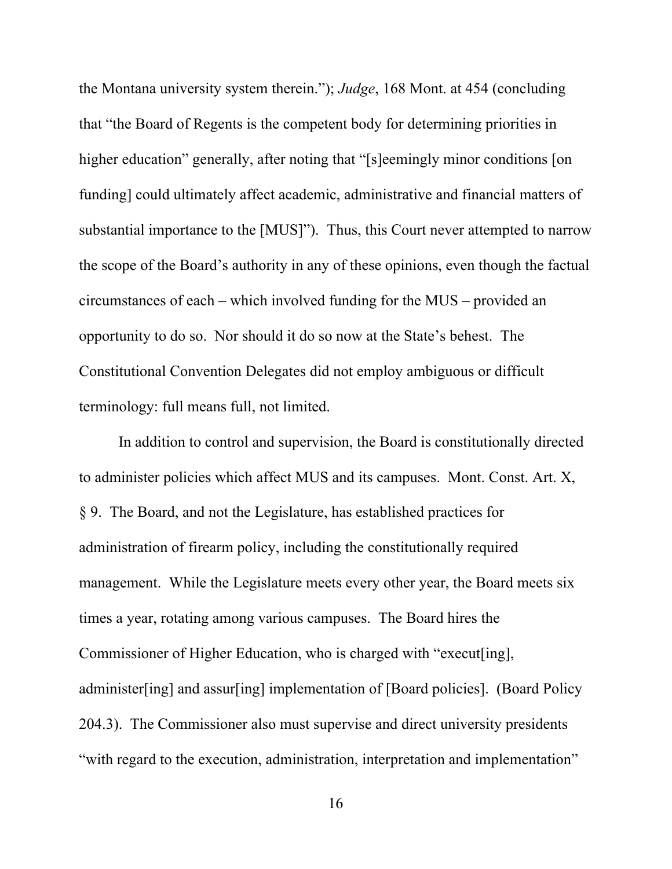the Montana university system therein."); *Judge*, 168 Mont. at 454 (concluding that "the Board of Regents is the competent body for determining priorities in higher education" generally, after noting that "[s]eemingly minor conditions [on funding] could ultimately affect academic, administrative and financial matters of substantial importance to the [MUS]"). Thus, this Court never attempted to narrow the scope of the Board's authority in any of these opinions, even though the factual circumstances of each – which involved funding for the MUS – provided an opportunity to do so. Nor should it do so now at the State's behest. The Constitutional Convention Delegates did not employ ambiguous or difficult terminology: full means full, not limited.

In addition to control and supervision, the Board is constitutionally directed to administer policies which affect MUS and its campuses. Mont. Const. Art. X, § 9. The Board, and not the Legislature, has established practices for administration of firearm policy, including the constitutionally required management. While the Legislature meets every other year, the Board meets six times a year, rotating among various campuses. The Board hires the Commissioner of Higher Education, who is charged with "execut[ing], administer[ing] and assur[ing] implementation of [Board policies]. (Board Policy 204.3). The Commissioner also must supervise and direct university presidents "with regard to the execution, administration, interpretation and implementation"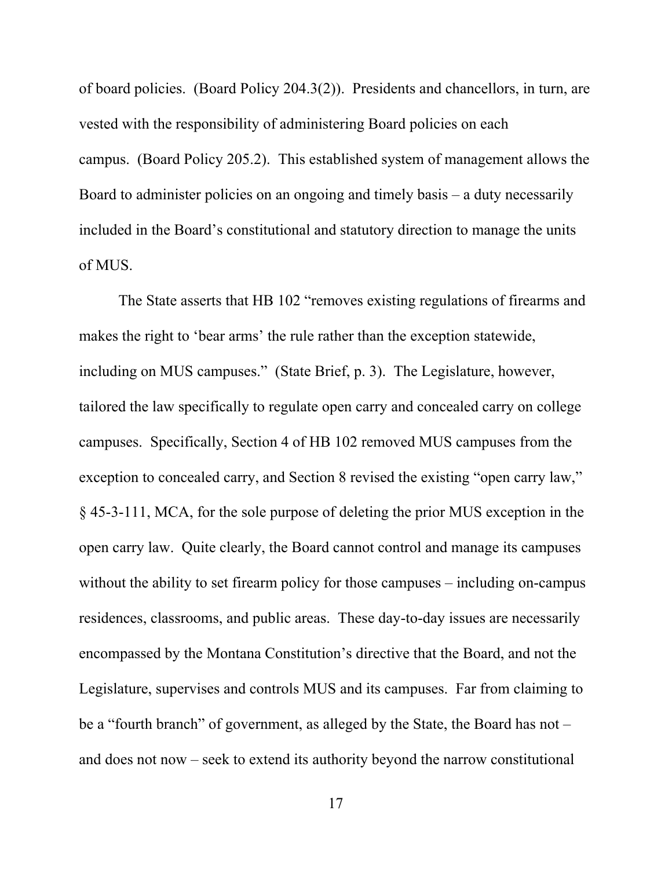of board policies. (Board Policy 204.3(2)). Presidents and chancellors, in turn, are vested with the responsibility of administering Board policies on each campus. (Board Policy 205.2). This established system of management allows the Board to administer policies on an ongoing and timely basis – a duty necessarily included in the Board's constitutional and statutory direction to manage the units of MUS.

The State asserts that HB 102 "removes existing regulations of firearms and makes the right to 'bear arms' the rule rather than the exception statewide, including on MUS campuses." (State Brief, p. 3). The Legislature, however, tailored the law specifically to regulate open carry and concealed carry on college campuses. Specifically, Section 4 of HB 102 removed MUS campuses from the exception to concealed carry, and Section 8 revised the existing "open carry law," § 45-3-111, MCA, for the sole purpose of deleting the prior MUS exception in the open carry law. Quite clearly, the Board cannot control and manage its campuses without the ability to set firearm policy for those campuses – including on-campus residences, classrooms, and public areas. These day-to-day issues are necessarily encompassed by the Montana Constitution's directive that the Board, and not the Legislature, supervises and controls MUS and its campuses. Far from claiming to be a "fourth branch" of government, as alleged by the State, the Board has not – and does not now – seek to extend its authority beyond the narrow constitutional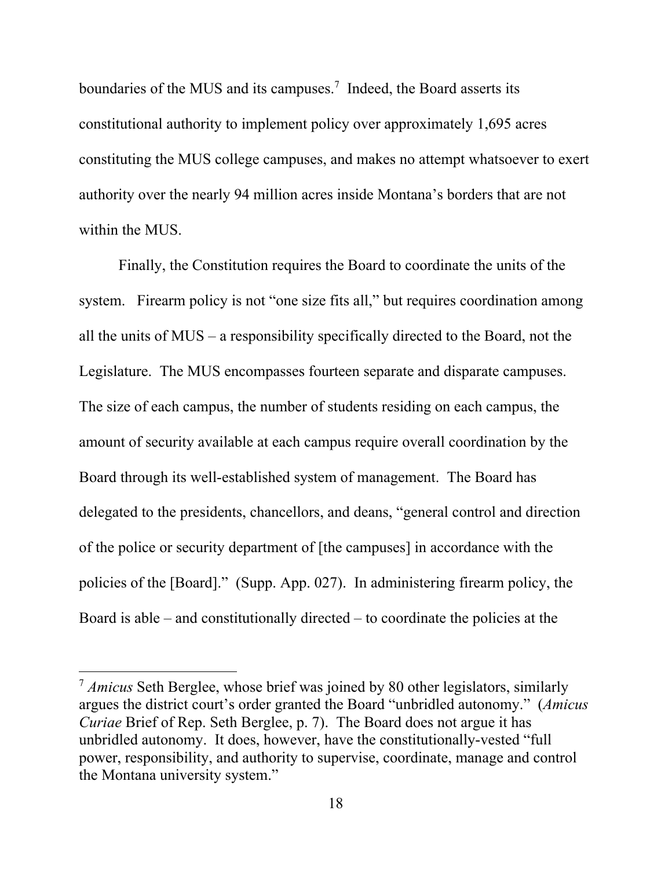boundaries of the MUS and its campuses.<sup>7</sup> Indeed, the Board asserts its constitutional authority to implement policy over approximately 1,695 acres constituting the MUS college campuses, and makes no attempt whatsoever to exert authority over the nearly 94 million acres inside Montana's borders that are not within the MUS.

Finally, the Constitution requires the Board to coordinate the units of the system. Firearm policy is not "one size fits all," but requires coordination among all the units of MUS – a responsibility specifically directed to the Board, not the Legislature. The MUS encompasses fourteen separate and disparate campuses. The size of each campus, the number of students residing on each campus, the amount of security available at each campus require overall coordination by the Board through its well-established system of management. The Board has delegated to the presidents, chancellors, and deans, "general control and direction of the police or security department of [the campuses] in accordance with the policies of the [Board]." (Supp. App. 027). In administering firearm policy, the Board is able – and constitutionally directed – to coordinate the policies at the

<sup>7</sup> *Amicus* Seth Berglee, whose brief was joined by 80 other legislators, similarly argues the district court's order granted the Board "unbridled autonomy." (*Amicus Curiae* Brief of Rep. Seth Berglee, p. 7). The Board does not argue it has unbridled autonomy. It does, however, have the constitutionally-vested "full power, responsibility, and authority to supervise, coordinate, manage and control the Montana university system."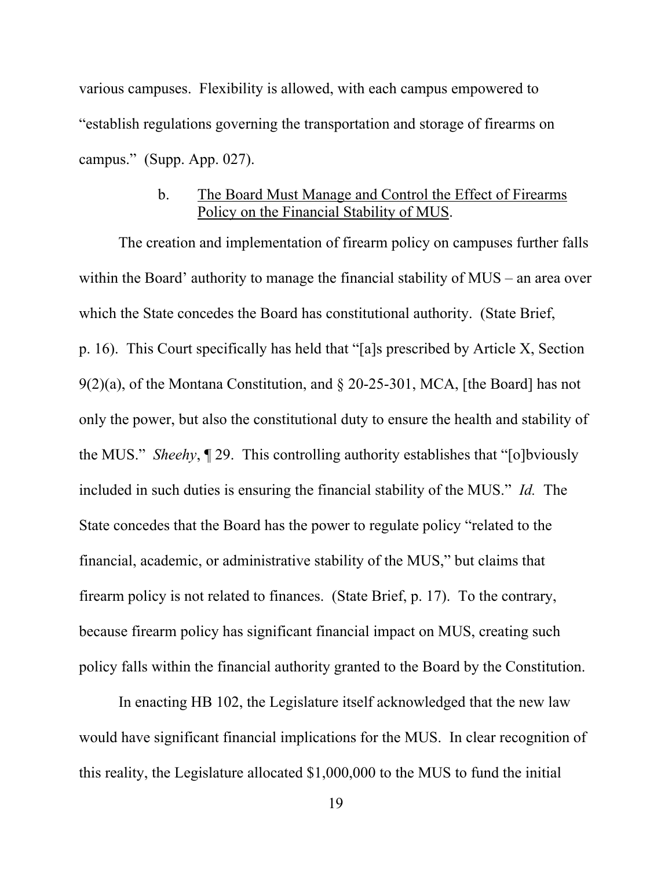various campuses. Flexibility is allowed, with each campus empowered to "establish regulations governing the transportation and storage of firearms on campus." (Supp. App. 027).

## b. The Board Must Manage and Control the Effect of Firearms Policy on the Financial Stability of MUS.

The creation and implementation of firearm policy on campuses further falls within the Board' authority to manage the financial stability of MUS – an area over which the State concedes the Board has constitutional authority. (State Brief, p. 16). This Court specifically has held that "[a]s prescribed by Article X, Section 9(2)(a), of the Montana Constitution, and § 20-25-301, MCA, [the Board] has not only the power, but also the constitutional duty to ensure the health and stability of the MUS." *Sheehy*, ¶ 29. This controlling authority establishes that "[o]bviously included in such duties is ensuring the financial stability of the MUS." *Id.* The State concedes that the Board has the power to regulate policy "related to the financial, academic, or administrative stability of the MUS," but claims that firearm policy is not related to finances. (State Brief, p. 17). To the contrary, because firearm policy has significant financial impact on MUS, creating such policy falls within the financial authority granted to the Board by the Constitution.

In enacting HB 102, the Legislature itself acknowledged that the new law would have significant financial implications for the MUS. In clear recognition of this reality, the Legislature allocated \$1,000,000 to the MUS to fund the initial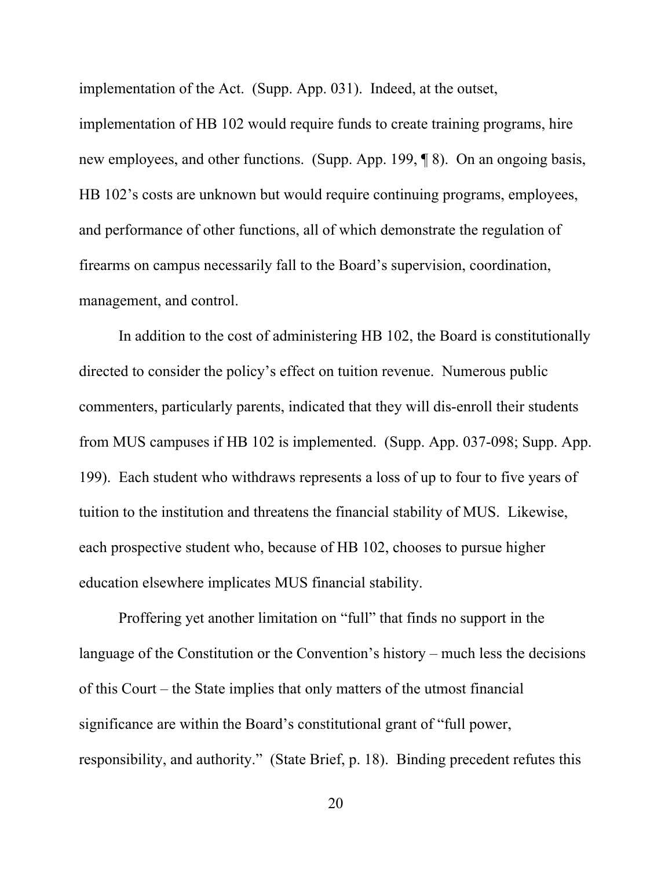implementation of the Act. (Supp. App. 031). Indeed, at the outset, implementation of HB 102 would require funds to create training programs, hire new employees, and other functions. (Supp. App. 199, ¶ 8). On an ongoing basis, HB 102's costs are unknown but would require continuing programs, employees, and performance of other functions, all of which demonstrate the regulation of firearms on campus necessarily fall to the Board's supervision, coordination, management, and control.

In addition to the cost of administering HB 102, the Board is constitutionally directed to consider the policy's effect on tuition revenue. Numerous public commenters, particularly parents, indicated that they will dis-enroll their students from MUS campuses if HB 102 is implemented. (Supp. App. 037-098; Supp. App. 199). Each student who withdraws represents a loss of up to four to five years of tuition to the institution and threatens the financial stability of MUS. Likewise, each prospective student who, because of HB 102, chooses to pursue higher education elsewhere implicates MUS financial stability.

Proffering yet another limitation on "full" that finds no support in the language of the Constitution or the Convention's history – much less the decisions of this Court – the State implies that only matters of the utmost financial significance are within the Board's constitutional grant of "full power, responsibility, and authority." (State Brief, p. 18). Binding precedent refutes this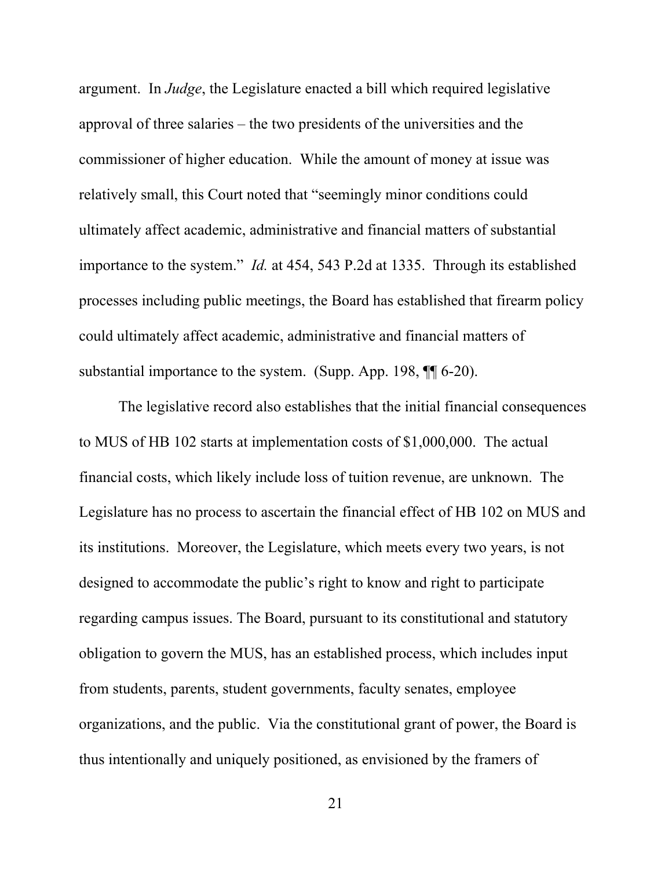argument. In *Judge*, the Legislature enacted a bill which required legislative approval of three salaries – the two presidents of the universities and the commissioner of higher education. While the amount of money at issue was relatively small, this Court noted that "seemingly minor conditions could ultimately affect academic, administrative and financial matters of substantial importance to the system." *Id.* at 454, 543 P.2d at 1335. Through its established processes including public meetings, the Board has established that firearm policy could ultimately affect academic, administrative and financial matters of substantial importance to the system. (Supp. App. 198, ¶¶ 6-20).

The legislative record also establishes that the initial financial consequences to MUS of HB 102 starts at implementation costs of \$1,000,000. The actual financial costs, which likely include loss of tuition revenue, are unknown. The Legislature has no process to ascertain the financial effect of HB 102 on MUS and its institutions. Moreover, the Legislature, which meets every two years, is not designed to accommodate the public's right to know and right to participate regarding campus issues. The Board, pursuant to its constitutional and statutory obligation to govern the MUS, has an established process, which includes input from students, parents, student governments, faculty senates, employee organizations, and the public. Via the constitutional grant of power, the Board is thus intentionally and uniquely positioned, as envisioned by the framers of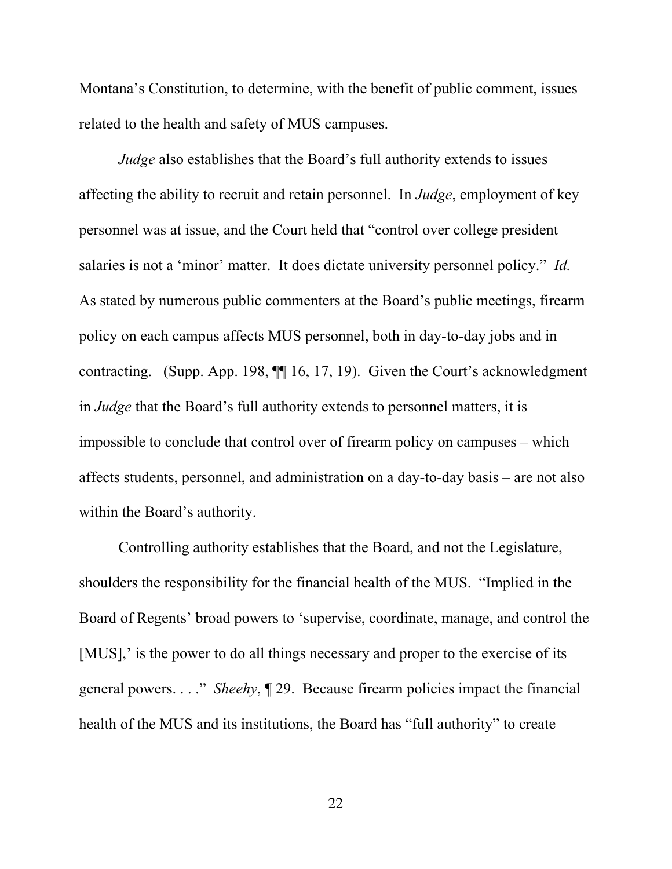Montana's Constitution, to determine, with the benefit of public comment, issues related to the health and safety of MUS campuses.

*Judge* also establishes that the Board's full authority extends to issues affecting the ability to recruit and retain personnel. In *Judge*, employment of key personnel was at issue, and the Court held that "control over college president salaries is not a 'minor' matter. It does dictate university personnel policy." *Id.*  As stated by numerous public commenters at the Board's public meetings, firearm policy on each campus affects MUS personnel, both in day-to-day jobs and in contracting. (Supp. App. 198, ¶¶ 16, 17, 19). Given the Court's acknowledgment in *Judge* that the Board's full authority extends to personnel matters, it is impossible to conclude that control over of firearm policy on campuses – which affects students, personnel, and administration on a day-to-day basis – are not also within the Board's authority.

Controlling authority establishes that the Board, and not the Legislature, shoulders the responsibility for the financial health of the MUS. "Implied in the Board of Regents' broad powers to 'supervise, coordinate, manage, and control the [MUS],' is the power to do all things necessary and proper to the exercise of its general powers. . . ." *Sheehy*, ¶ 29. Because firearm policies impact the financial health of the MUS and its institutions, the Board has "full authority" to create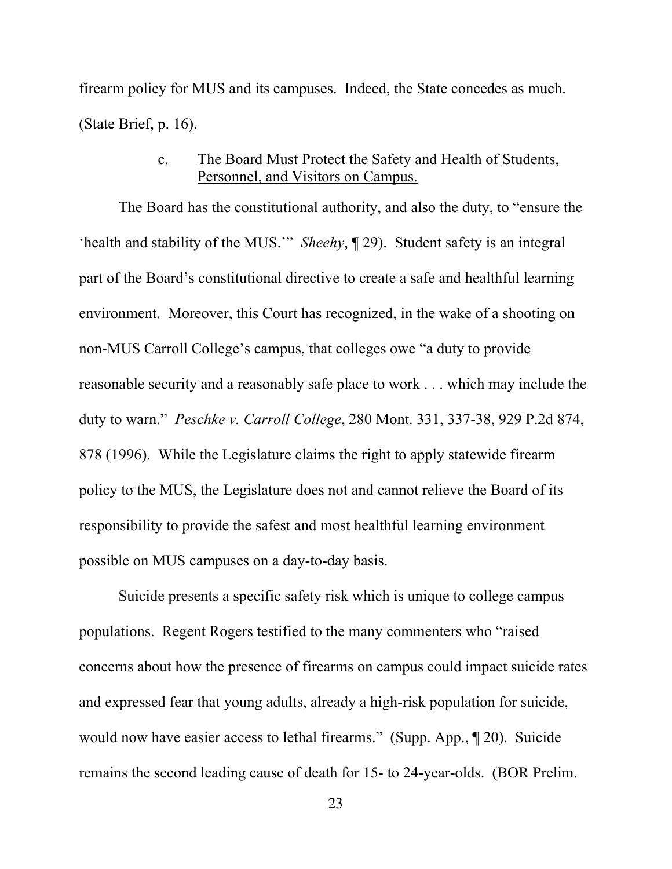firearm policy for MUS and its campuses. Indeed, the State concedes as much. (State Brief, p. 16).

# c. The Board Must Protect the Safety and Health of Students, Personnel, and Visitors on Campus.

The Board has the constitutional authority, and also the duty, to "ensure the 'health and stability of the MUS.'" *Sheehy*, ¶ 29). Student safety is an integral part of the Board's constitutional directive to create a safe and healthful learning environment. Moreover, this Court has recognized, in the wake of a shooting on non-MUS Carroll College's campus, that colleges owe "a duty to provide reasonable security and a reasonably safe place to work . . . which may include the duty to warn." *Peschke v. Carroll College*, 280 Mont. 331, 337-38, 929 P.2d 874, 878 (1996). While the Legislature claims the right to apply statewide firearm policy to the MUS, the Legislature does not and cannot relieve the Board of its responsibility to provide the safest and most healthful learning environment possible on MUS campuses on a day-to-day basis.

Suicide presents a specific safety risk which is unique to college campus populations. Regent Rogers testified to the many commenters who "raised concerns about how the presence of firearms on campus could impact suicide rates and expressed fear that young adults, already a high-risk population for suicide, would now have easier access to lethal firearms." (Supp. App., ¶ 20). Suicide remains the second leading cause of death for 15- to 24-year-olds. (BOR Prelim.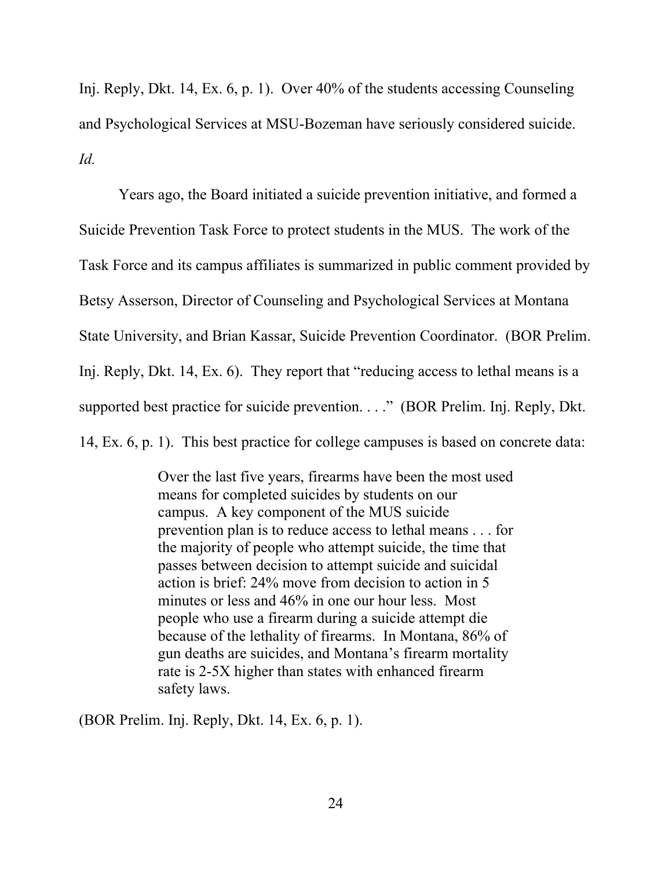Inj. Reply, Dkt. 14, Ex. 6, p. 1). Over 40% of the students accessing Counseling and Psychological Services at MSU-Bozeman have seriously considered suicide. *Id.*

Years ago, the Board initiated a suicide prevention initiative, and formed a Suicide Prevention Task Force to protect students in the MUS. The work of the Task Force and its campus affiliates is summarized in public comment provided by Betsy Asserson, Director of Counseling and Psychological Services at Montana State University, and Brian Kassar, Suicide Prevention Coordinator. (BOR Prelim. Inj. Reply, Dkt. 14, Ex. 6). They report that "reducing access to lethal means is a supported best practice for suicide prevention. . . ." (BOR Prelim. Inj. Reply, Dkt.

14, Ex. 6, p. 1). This best practice for college campuses is based on concrete data:

Over the last five years, firearms have been the most used means for completed suicides by students on our campus. A key component of the MUS suicide prevention plan is to reduce access to lethal means . . . for the majority of people who attempt suicide, the time that passes between decision to attempt suicide and suicidal action is brief: 24% move from decision to action in 5 minutes or less and 46% in one our hour less. Most people who use a firearm during a suicide attempt die because of the lethality of firearms. In Montana, 86% of gun deaths are suicides, and Montana's firearm mortality rate is 2-5X higher than states with enhanced firearm safety laws.

(BOR Prelim. Inj. Reply, Dkt. 14, Ex. 6, p. 1).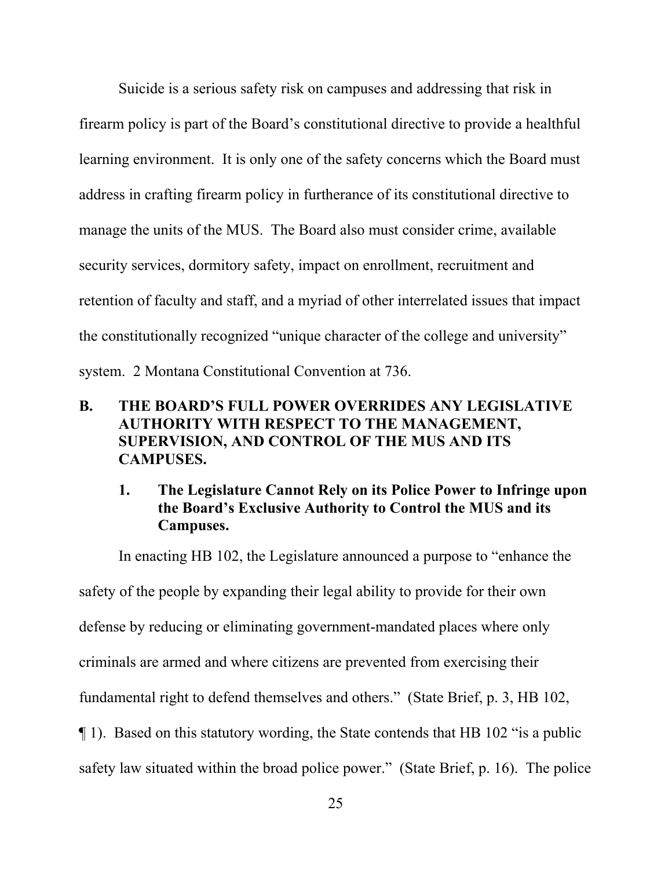Suicide is a serious safety risk on campuses and addressing that risk in firearm policy is part of the Board's constitutional directive to provide a healthful learning environment. It is only one of the safety concerns which the Board must address in crafting firearm policy in furtherance of its constitutional directive to manage the units of the MUS. The Board also must consider crime, available security services, dormitory safety, impact on enrollment, recruitment and retention of faculty and staff, and a myriad of other interrelated issues that impact the constitutionally recognized "unique character of the college and university" system. 2 Montana Constitutional Convention at 736.

## **B. THE BOARD'S FULL POWER OVERRIDES ANY LEGISLATIVE AUTHORITY WITH RESPECT TO THE MANAGEMENT, SUPERVISION, AND CONTROL OF THE MUS AND ITS CAMPUSES.**

# **1. The Legislature Cannot Rely on its Police Power to Infringe upon the Board's Exclusive Authority to Control the MUS and its Campuses.**

In enacting HB 102, the Legislature announced a purpose to "enhance the safety of the people by expanding their legal ability to provide for their own defense by reducing or eliminating government-mandated places where only criminals are armed and where citizens are prevented from exercising their fundamental right to defend themselves and others." (State Brief, p. 3, HB 102, ¶ 1). Based on this statutory wording, the State contends that HB 102 "is a public safety law situated within the broad police power." (State Brief, p. 16). The police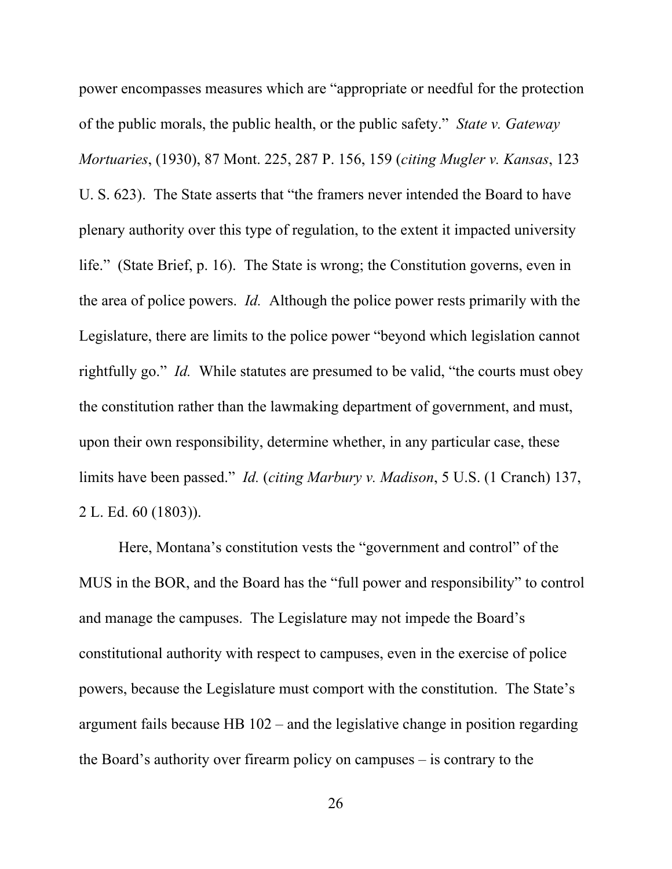power encompasses measures which are "appropriate or needful for the protection of the public morals, the public health, or the public safety." *State v. Gateway Mortuaries*, (1930), 87 Mont. 225, 287 P. 156, 159 (*citing Mugler v. Kansas*, 123 U. S. 623). The State asserts that "the framers never intended the Board to have plenary authority over this type of regulation, to the extent it impacted university life." (State Brief, p. 16). The State is wrong; the Constitution governs, even in the area of police powers. *Id.* Although the police power rests primarily with the Legislature, there are limits to the police power "beyond which legislation cannot rightfully go." *Id.* While statutes are presumed to be valid, "the courts must obey the constitution rather than the lawmaking department of government, and must, upon their own responsibility, determine whether, in any particular case, these limits have been passed." *Id.* (*citing Marbury v. Madison*, 5 U.S. (1 Cranch) 137, 2 L. Ed. 60 (1803)).

Here, Montana's constitution vests the "government and control" of the MUS in the BOR, and the Board has the "full power and responsibility" to control and manage the campuses. The Legislature may not impede the Board's constitutional authority with respect to campuses, even in the exercise of police powers, because the Legislature must comport with the constitution. The State's argument fails because HB 102 – and the legislative change in position regarding the Board's authority over firearm policy on campuses – is contrary to the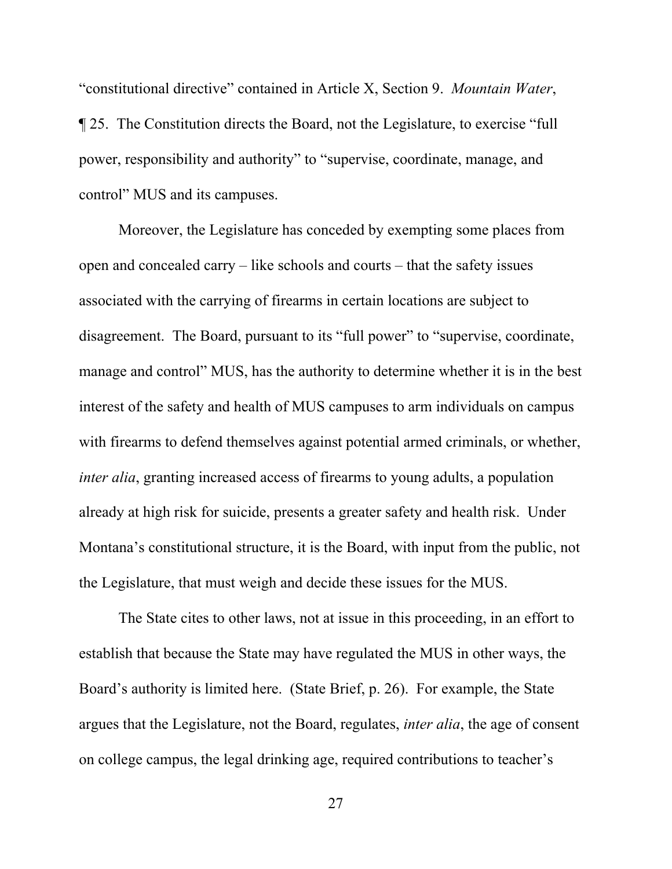"constitutional directive" contained in Article X, Section 9. *Mountain Water*, ¶ 25. The Constitution directs the Board, not the Legislature, to exercise "full power, responsibility and authority" to "supervise, coordinate, manage, and control" MUS and its campuses.

Moreover, the Legislature has conceded by exempting some places from open and concealed carry – like schools and courts – that the safety issues associated with the carrying of firearms in certain locations are subject to disagreement. The Board, pursuant to its "full power" to "supervise, coordinate, manage and control" MUS, has the authority to determine whether it is in the best interest of the safety and health of MUS campuses to arm individuals on campus with firearms to defend themselves against potential armed criminals, or whether, *inter alia*, granting increased access of firearms to young adults, a population already at high risk for suicide, presents a greater safety and health risk. Under Montana's constitutional structure, it is the Board, with input from the public, not the Legislature, that must weigh and decide these issues for the MUS.

The State cites to other laws, not at issue in this proceeding, in an effort to establish that because the State may have regulated the MUS in other ways, the Board's authority is limited here. (State Brief, p. 26). For example, the State argues that the Legislature, not the Board, regulates, *inter alia*, the age of consent on college campus, the legal drinking age, required contributions to teacher's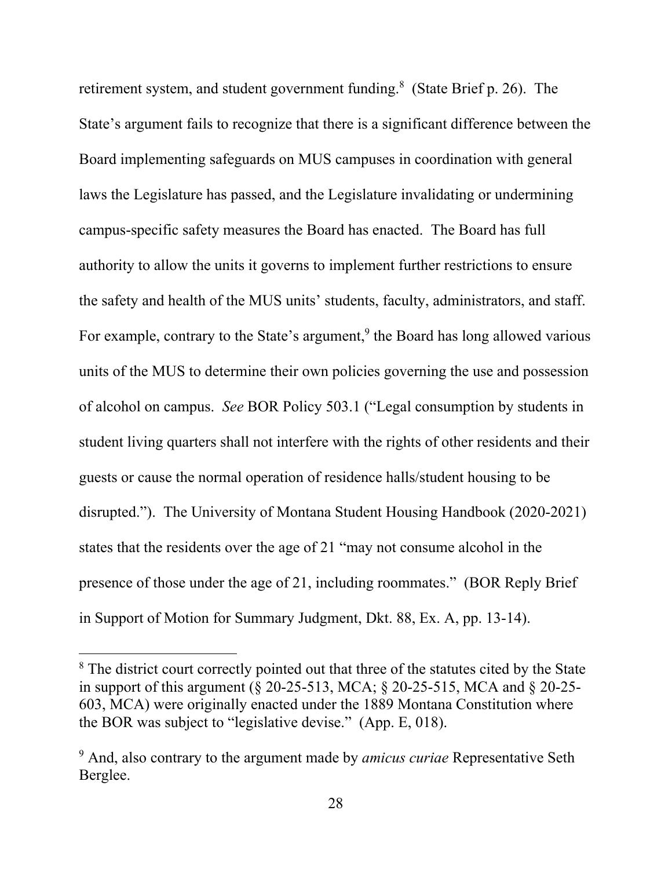retirement system, and student government funding.<sup>8</sup> (State Brief p. 26). The State's argument fails to recognize that there is a significant difference between the Board implementing safeguards on MUS campuses in coordination with general laws the Legislature has passed, and the Legislature invalidating or undermining campus-specific safety measures the Board has enacted. The Board has full authority to allow the units it governs to implement further restrictions to ensure the safety and health of the MUS units' students, faculty, administrators, and staff. For example, contrary to the State's argument,<sup>9</sup> the Board has long allowed various units of the MUS to determine their own policies governing the use and possession of alcohol on campus. *See* BOR Policy 503.1 ("Legal consumption by students in student living quarters shall not interfere with the rights of other residents and their guests or cause the normal operation of residence halls/student housing to be disrupted."). The University of Montana Student Housing Handbook (2020-2021) states that the residents over the age of 21 "may not consume alcohol in the presence of those under the age of 21, including roommates." (BOR Reply Brief in Support of Motion for Summary Judgment, Dkt. 88, Ex. A, pp. 13-14).

<sup>&</sup>lt;sup>8</sup> The district court correctly pointed out that three of the statutes cited by the State in support of this argument (§ 20-25-513, MCA; § 20-25-515, MCA and § 20-25- 603, MCA) were originally enacted under the 1889 Montana Constitution where the BOR was subject to "legislative devise." (App. E, 018).

<sup>9</sup> And, also contrary to the argument made by *amicus curiae* Representative Seth Berglee.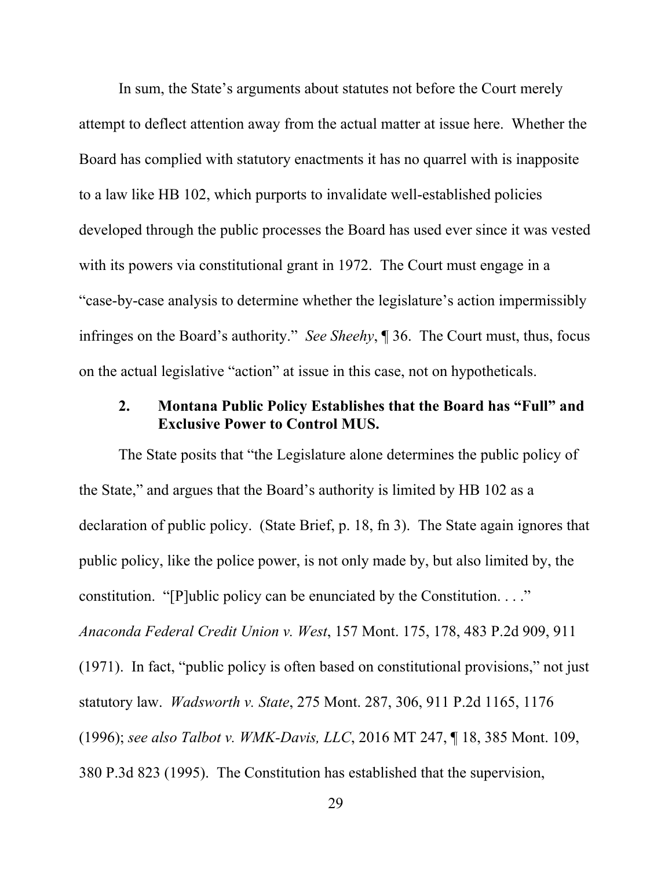In sum, the State's arguments about statutes not before the Court merely attempt to deflect attention away from the actual matter at issue here. Whether the Board has complied with statutory enactments it has no quarrel with is inapposite to a law like HB 102, which purports to invalidate well-established policies developed through the public processes the Board has used ever since it was vested with its powers via constitutional grant in 1972. The Court must engage in a "case-by-case analysis to determine whether the legislature's action impermissibly infringes on the Board's authority." *See Sheehy*, ¶ 36. The Court must, thus, focus on the actual legislative "action" at issue in this case, not on hypotheticals.

# **2. Montana Public Policy Establishes that the Board has "Full" and Exclusive Power to Control MUS.**

The State posits that "the Legislature alone determines the public policy of the State," and argues that the Board's authority is limited by HB 102 as a declaration of public policy. (State Brief, p. 18, fn 3). The State again ignores that public policy, like the police power, is not only made by, but also limited by, the constitution. "[P]ublic policy can be enunciated by the Constitution. . . ." *Anaconda Federal Credit Union v. West*, 157 Mont. 175, 178, 483 P.2d 909, 911 (1971). In fact, "public policy is often based on constitutional provisions," not just statutory law. *Wadsworth v. State*, 275 Mont. 287, 306, 911 P.2d 1165, 1176 (1996); *see also Talbot v. WMK-Davis, LLC*, 2016 MT 247, ¶ 18, 385 Mont. 109, 380 P.3d 823 (1995). The Constitution has established that the supervision,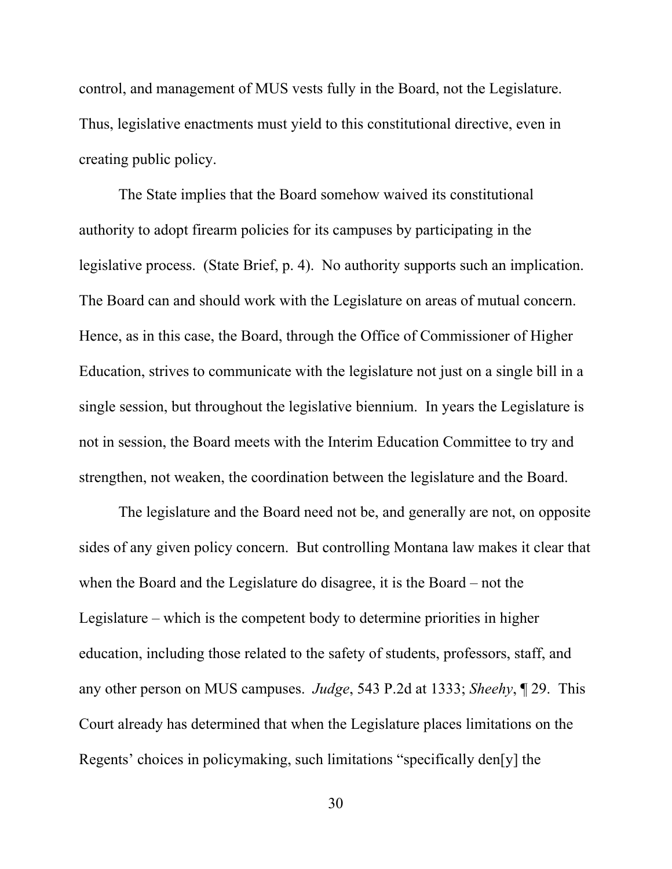control, and management of MUS vests fully in the Board, not the Legislature. Thus, legislative enactments must yield to this constitutional directive, even in creating public policy.

The State implies that the Board somehow waived its constitutional authority to adopt firearm policies for its campuses by participating in the legislative process. (State Brief, p. 4). No authority supports such an implication. The Board can and should work with the Legislature on areas of mutual concern. Hence, as in this case, the Board, through the Office of Commissioner of Higher Education, strives to communicate with the legislature not just on a single bill in a single session, but throughout the legislative biennium. In years the Legislature is not in session, the Board meets with the Interim Education Committee to try and strengthen, not weaken, the coordination between the legislature and the Board.

The legislature and the Board need not be, and generally are not, on opposite sides of any given policy concern. But controlling Montana law makes it clear that when the Board and the Legislature do disagree, it is the Board – not the Legislature – which is the competent body to determine priorities in higher education, including those related to the safety of students, professors, staff, and any other person on MUS campuses. *Judge*, 543 P.2d at 1333; *Sheehy*, ¶ 29. This Court already has determined that when the Legislature places limitations on the Regents' choices in policymaking, such limitations "specifically den[y] the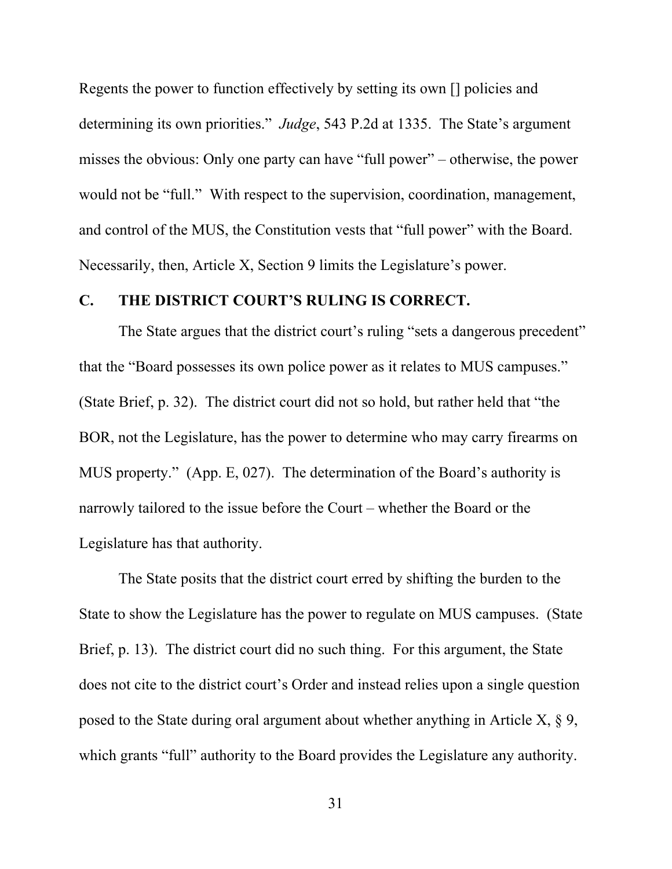Regents the power to function effectively by setting its own [] policies and determining its own priorities." *Judge*, 543 P.2d at 1335. The State's argument misses the obvious: Only one party can have "full power" – otherwise, the power would not be "full." With respect to the supervision, coordination, management, and control of the MUS, the Constitution vests that "full power" with the Board. Necessarily, then, Article X, Section 9 limits the Legislature's power.

#### **C. THE DISTRICT COURT'S RULING IS CORRECT.**

The State argues that the district court's ruling "sets a dangerous precedent" that the "Board possesses its own police power as it relates to MUS campuses." (State Brief, p. 32). The district court did not so hold, but rather held that "the BOR, not the Legislature, has the power to determine who may carry firearms on MUS property." (App. E, 027). The determination of the Board's authority is narrowly tailored to the issue before the Court – whether the Board or the Legislature has that authority.

The State posits that the district court erred by shifting the burden to the State to show the Legislature has the power to regulate on MUS campuses. (State Brief, p. 13). The district court did no such thing. For this argument, the State does not cite to the district court's Order and instead relies upon a single question posed to the State during oral argument about whether anything in Article X,  $\S$  9, which grants "full" authority to the Board provides the Legislature any authority.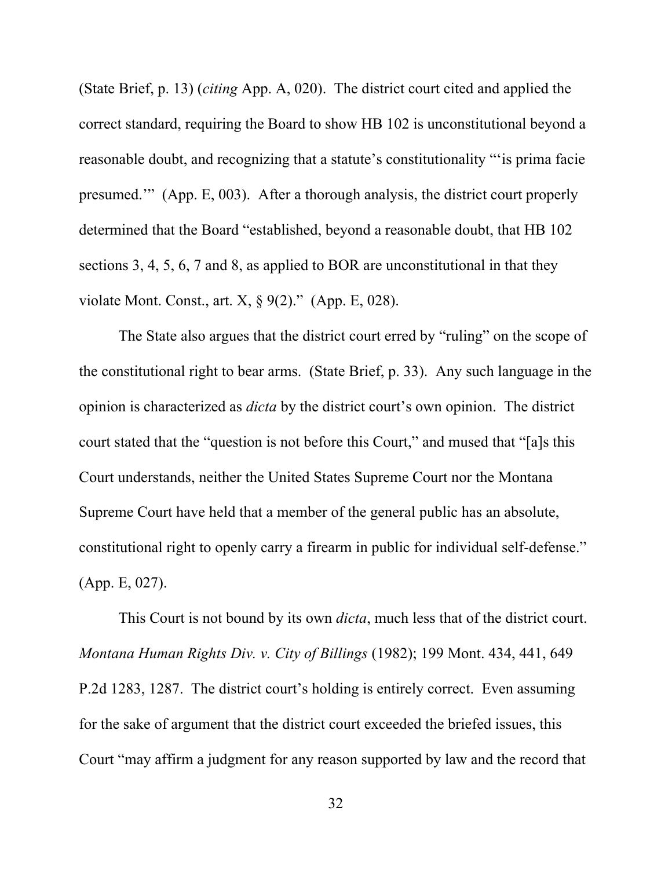(State Brief, p. 13) (*citing* App. A, 020). The district court cited and applied the correct standard, requiring the Board to show HB 102 is unconstitutional beyond a reasonable doubt, and recognizing that a statute's constitutionality "'is prima facie presumed.'" (App. E, 003). After a thorough analysis, the district court properly determined that the Board "established, beyond a reasonable doubt, that HB 102 sections 3, 4, 5, 6, 7 and 8, as applied to BOR are unconstitutional in that they violate Mont. Const., art.  $X$ ,  $\S$  9(2)." (App. E, 028).

The State also argues that the district court erred by "ruling" on the scope of the constitutional right to bear arms. (State Brief, p. 33). Any such language in the opinion is characterized as *dicta* by the district court's own opinion. The district court stated that the "question is not before this Court," and mused that "[a]s this Court understands, neither the United States Supreme Court nor the Montana Supreme Court have held that a member of the general public has an absolute, constitutional right to openly carry a firearm in public for individual self-defense." (App. E, 027).

This Court is not bound by its own *dicta*, much less that of the district court. *Montana Human Rights Div. v. City of Billings* (1982); 199 Mont. 434, 441, 649 P.2d 1283, 1287. The district court's holding is entirely correct. Even assuming for the sake of argument that the district court exceeded the briefed issues, this Court "may affirm a judgment for any reason supported by law and the record that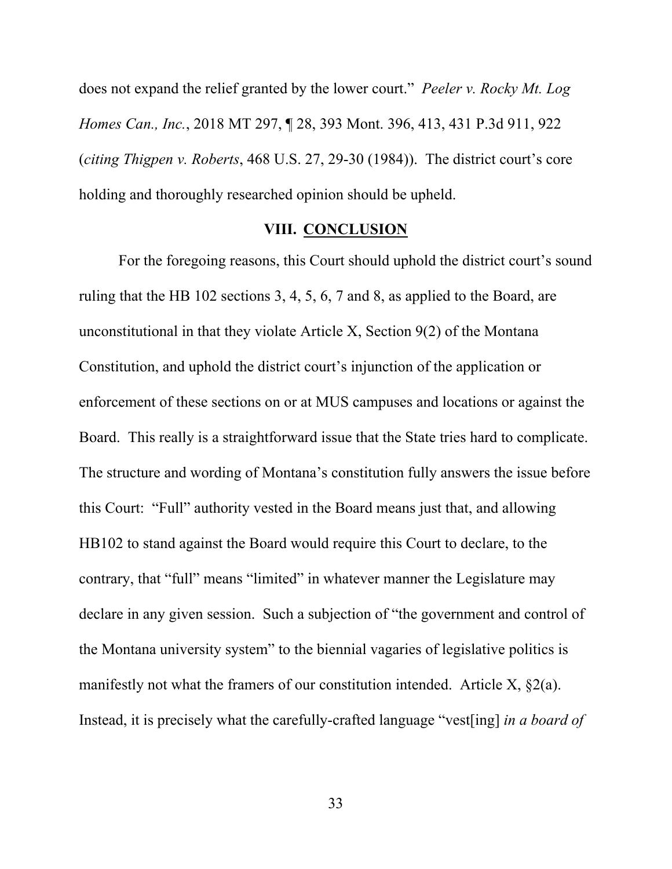does not expand the relief granted by the lower court." *Peeler v. Rocky Mt. Log Homes Can., Inc.*, 2018 MT 297, ¶ 28, 393 Mont. 396, 413, 431 P.3d 911, 922 (*citing Thigpen v. Roberts*, 468 U.S. 27, 29-30 (1984)). The district court's core holding and thoroughly researched opinion should be upheld.

#### **VIII. CONCLUSION**

For the foregoing reasons, this Court should uphold the district court's sound ruling that the HB 102 sections 3, 4, 5, 6, 7 and 8, as applied to the Board, are unconstitutional in that they violate Article X, Section 9(2) of the Montana Constitution, and uphold the district court's injunction of the application or enforcement of these sections on or at MUS campuses and locations or against the Board. This really is a straightforward issue that the State tries hard to complicate. The structure and wording of Montana's constitution fully answers the issue before this Court: "Full" authority vested in the Board means just that, and allowing HB102 to stand against the Board would require this Court to declare, to the contrary, that "full" means "limited" in whatever manner the Legislature may declare in any given session. Such a subjection of "the government and control of the Montana university system" to the biennial vagaries of legislative politics is manifestly not what the framers of our constitution intended. Article X, §2(a). Instead, it is precisely what the carefully-crafted language "vest[ing] *in a board of*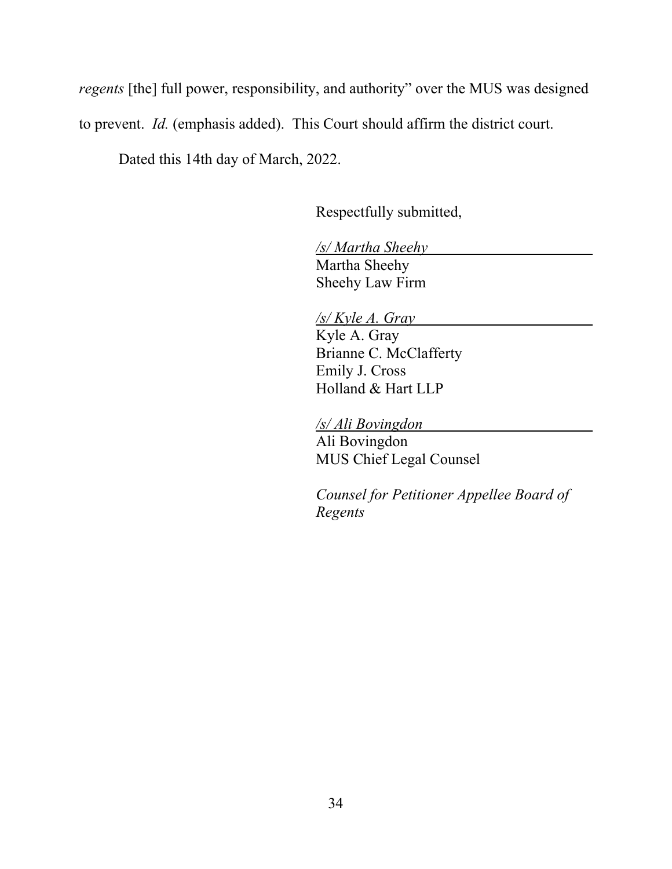*regents* [the] full power, responsibility, and authority" over the MUS was designed to prevent. *Id.* (emphasis added).This Court should affirm the district court.

Dated this 14th day of March, 2022.

Respectfully submitted,

*/s/ Martha Sheehy*  Martha Sheehy Sheehy Law Firm

*/s/ Kyle A. Gray*  Kyle A. Gray Brianne C. McClafferty Emily J. Cross Holland & Hart LLP

*/s/ Ali Bovingdon* 

Ali Bovingdon MUS Chief Legal Counsel

*Counsel for Petitioner Appellee Board of Regents*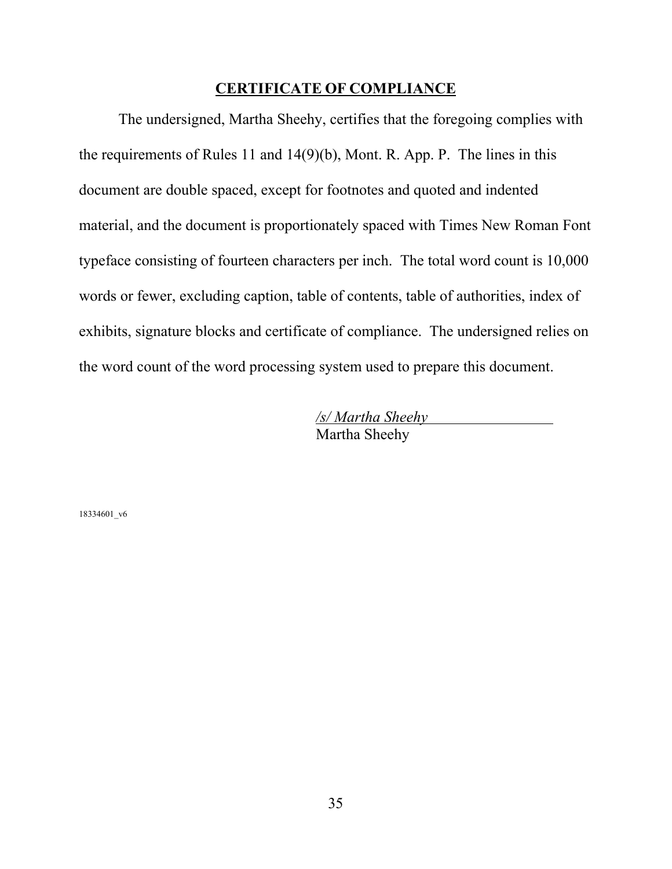#### **CERTIFICATE OF COMPLIANCE**

The undersigned, Martha Sheehy, certifies that the foregoing complies with the requirements of Rules 11 and 14(9)(b), Mont. R. App. P. The lines in this document are double spaced, except for footnotes and quoted and indented material, and the document is proportionately spaced with Times New Roman Font typeface consisting of fourteen characters per inch. The total word count is 10,000 words or fewer, excluding caption, table of contents, table of authorities, index of exhibits, signature blocks and certificate of compliance. The undersigned relies on the word count of the word processing system used to prepare this document.

> */s/ Martha Sheehy*  Martha Sheehy

18334601\_v6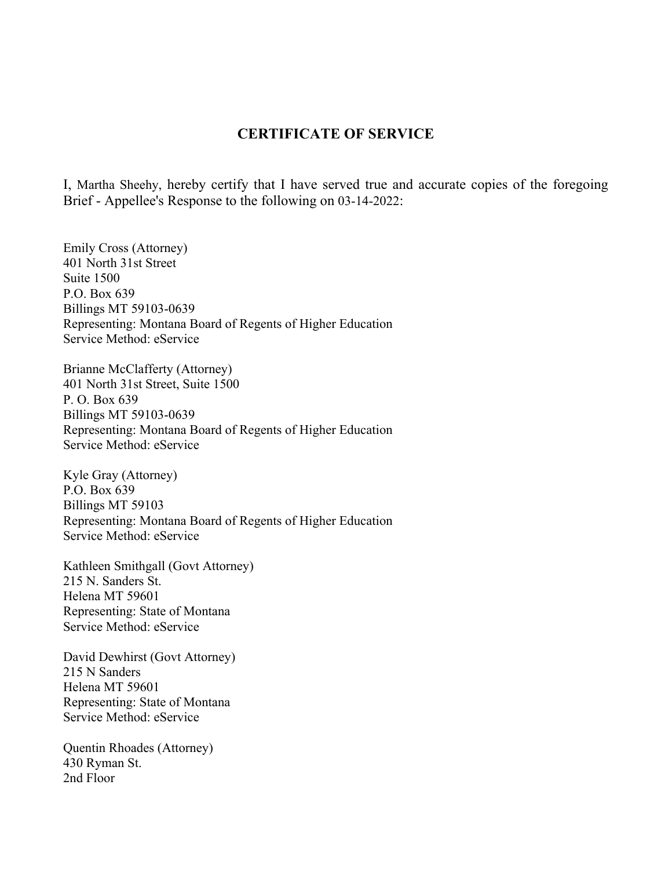#### **CERTIFICATE OF SERVICE**

I, Martha Sheehy, hereby certify that I have served true and accurate copies of the foregoing Brief - Appellee's Response to the following on 03-14-2022:

Emily Cross (Attorney) 401 North 31st Street Suite 1500 P.O. Box 639 Billings MT 59103-0639 Representing: Montana Board of Regents of Higher Education Service Method: eService

Brianne McClafferty (Attorney) 401 North 31st Street, Suite 1500 P. O. Box 639 Billings MT 59103-0639 Representing: Montana Board of Regents of Higher Education Service Method: eService

Kyle Gray (Attorney) P.O. Box 639 Billings MT 59103 Representing: Montana Board of Regents of Higher Education Service Method: eService

Kathleen Smithgall (Govt Attorney) 215 N. Sanders St. Helena MT 59601 Representing: State of Montana Service Method: eService

David Dewhirst (Govt Attorney) 215 N Sanders Helena MT 59601 Representing: State of Montana Service Method: eService

Quentin Rhoades (Attorney) 430 Ryman St. 2nd Floor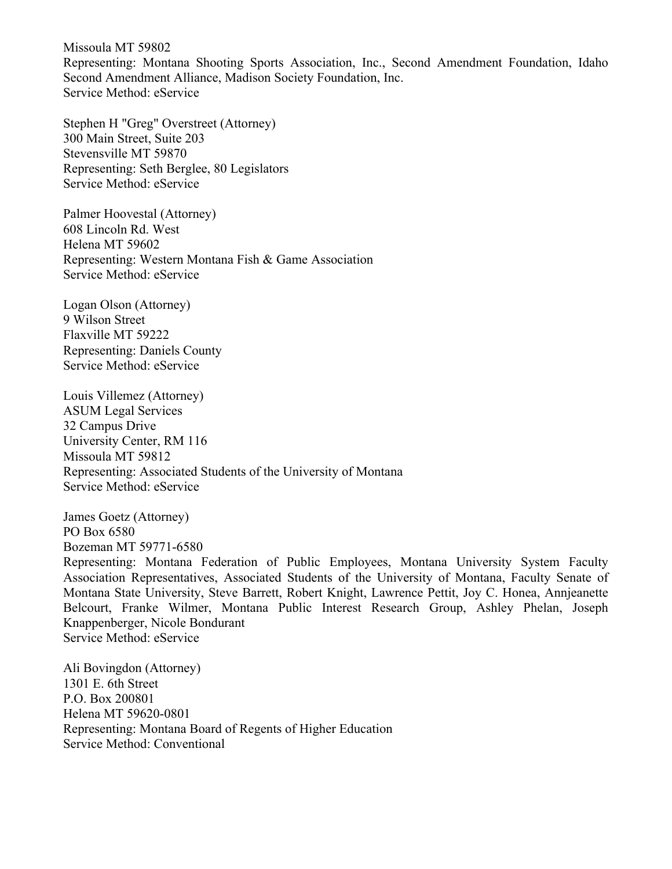Missoula MT 59802 Representing: Montana Shooting Sports Association, Inc., Second Amendment Foundation, Idaho Second Amendment Alliance, Madison Society Foundation, Inc. Service Method: eService

Stephen H "Greg" Overstreet (Attorney) 300 Main Street, Suite 203 Stevensville MT 59870 Representing: Seth Berglee, 80 Legislators Service Method: eService

Palmer Hoovestal (Attorney) 608 Lincoln Rd. West Helena MT 59602 Representing: Western Montana Fish & Game Association Service Method: eService

Logan Olson (Attorney) 9 Wilson Street Flaxville MT 59222 Representing: Daniels County Service Method: eService

Louis Villemez (Attorney) ASUM Legal Services 32 Campus Drive University Center, RM 116 Missoula MT 59812 Representing: Associated Students of the University of Montana Service Method: eService

James Goetz (Attorney) PO Box 6580 Bozeman MT 59771-6580

Representing: Montana Federation of Public Employees, Montana University System Faculty Association Representatives, Associated Students of the University of Montana, Faculty Senate of Montana State University, Steve Barrett, Robert Knight, Lawrence Pettit, Joy C. Honea, Annjeanette Belcourt, Franke Wilmer, Montana Public Interest Research Group, Ashley Phelan, Joseph Knappenberger, Nicole Bondurant Service Method: eService

Ali Bovingdon (Attorney) 1301 E. 6th Street P.O. Box 200801 Helena MT 59620-0801 Representing: Montana Board of Regents of Higher Education Service Method: Conventional